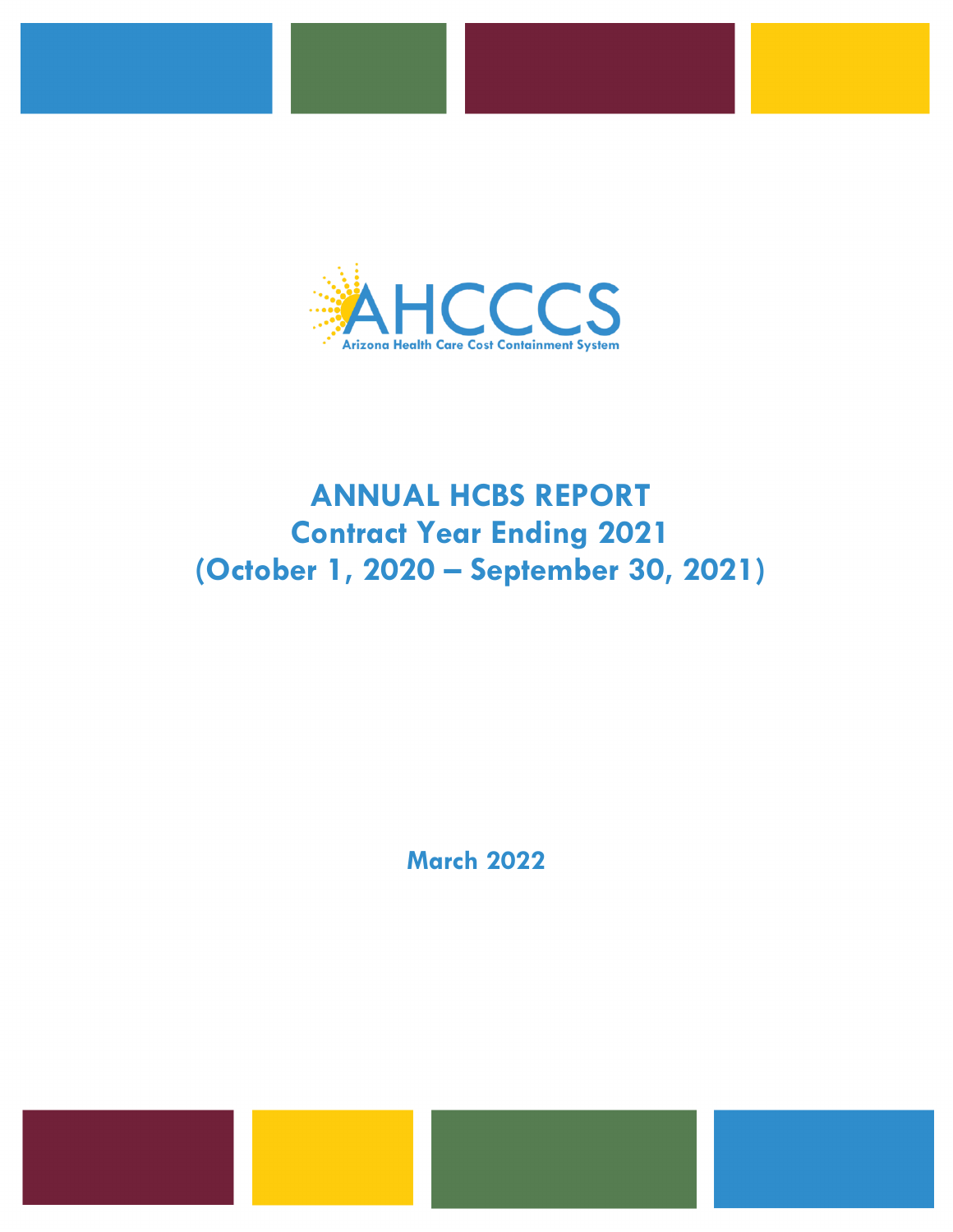

# **ANNUAL HCBS REPORT Contract Year Ending 2021 (October 1, 2020 – September 30, 2021)**

**March 2022**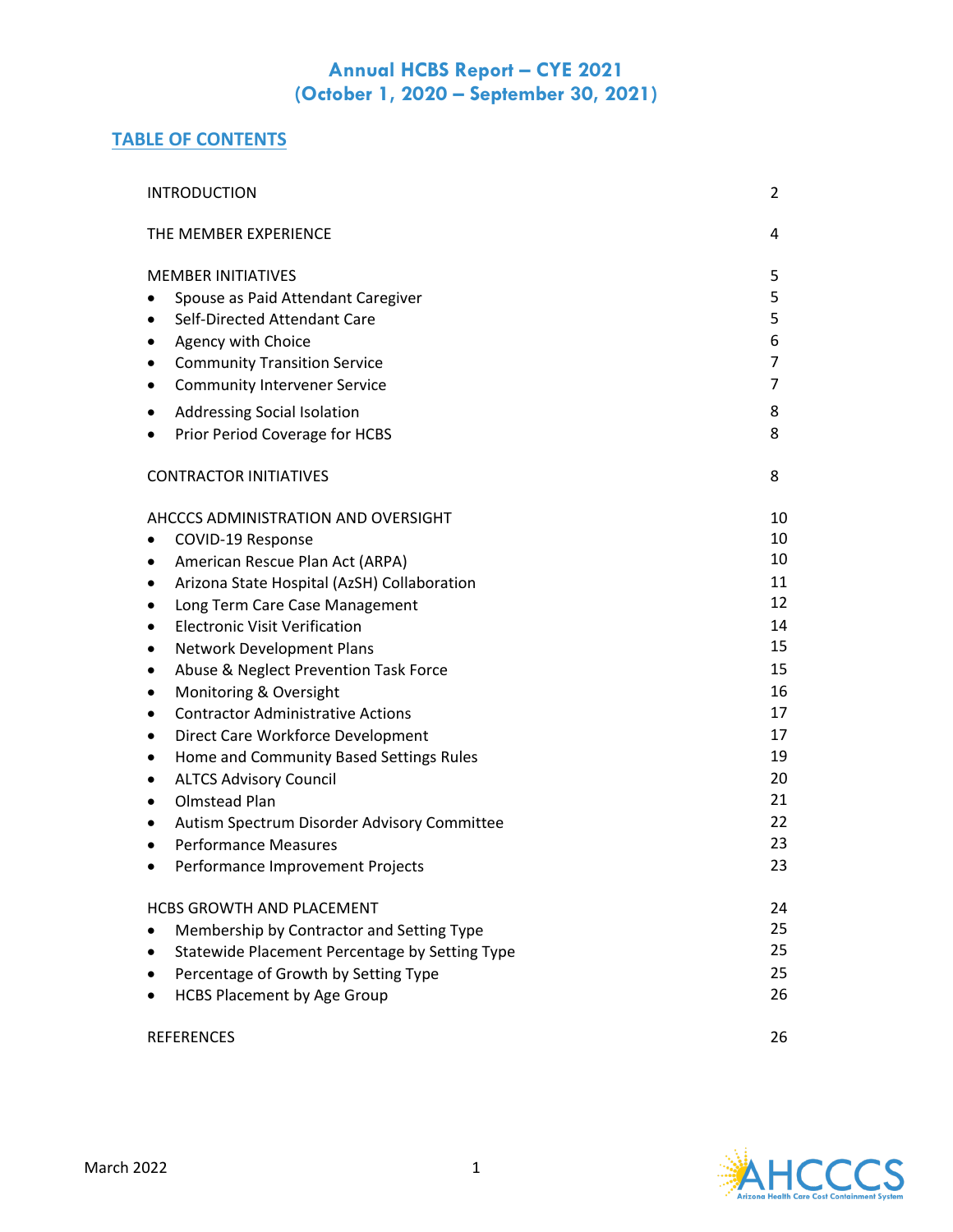## **TABLE OF CONTENTS**

| <b>INTRODUCTION</b>                                                                                                                                                                                                                                                                                                                                                                                                                                                                                                                                                                                                                                                              | 2                                                                                                  |
|----------------------------------------------------------------------------------------------------------------------------------------------------------------------------------------------------------------------------------------------------------------------------------------------------------------------------------------------------------------------------------------------------------------------------------------------------------------------------------------------------------------------------------------------------------------------------------------------------------------------------------------------------------------------------------|----------------------------------------------------------------------------------------------------|
| THE MEMBER EXPERIENCE                                                                                                                                                                                                                                                                                                                                                                                                                                                                                                                                                                                                                                                            | 4                                                                                                  |
| <b>MEMBER INITIATIVES</b><br>Spouse as Paid Attendant Caregiver<br>Self-Directed Attendant Care<br>Agency with Choice<br>٠<br><b>Community Transition Service</b><br><b>Community Intervener Service</b><br>٠<br>Addressing Social Isolation<br>Prior Period Coverage for HCBS                                                                                                                                                                                                                                                                                                                                                                                                   | 5<br>5<br>5<br>6<br>7<br>7<br>8<br>8                                                               |
| <b>CONTRACTOR INITIATIVES</b>                                                                                                                                                                                                                                                                                                                                                                                                                                                                                                                                                                                                                                                    | 8                                                                                                  |
| AHCCCS ADMINISTRATION AND OVERSIGHT<br>COVID-19 Response<br>American Rescue Plan Act (ARPA)<br>٠<br>Arizona State Hospital (AzSH) Collaboration<br>Long Term Care Case Management<br>٠<br><b>Electronic Visit Verification</b><br>٠<br>Network Development Plans<br>٠<br>Abuse & Neglect Prevention Task Force<br>٠<br>Monitoring & Oversight<br>٠<br><b>Contractor Administrative Actions</b><br>٠<br>Direct Care Workforce Development<br>٠<br>Home and Community Based Settings Rules<br>٠<br><b>ALTCS Advisory Council</b><br>٠<br>Olmstead Plan<br>٠<br>Autism Spectrum Disorder Advisory Committee<br>٠<br><b>Performance Measures</b><br>Performance Improvement Projects | 10<br>10<br>10<br>11<br>12<br>14<br>15<br>15<br>16<br>17<br>17<br>19<br>20<br>21<br>22<br>23<br>23 |
| <b>HCBS GROWTH AND PLACEMENT</b><br>Membership by Contractor and Setting Type<br>Statewide Placement Percentage by Setting Type<br>Percentage of Growth by Setting Type<br><b>HCBS Placement by Age Group</b>                                                                                                                                                                                                                                                                                                                                                                                                                                                                    | 24<br>25<br>25<br>25<br>26                                                                         |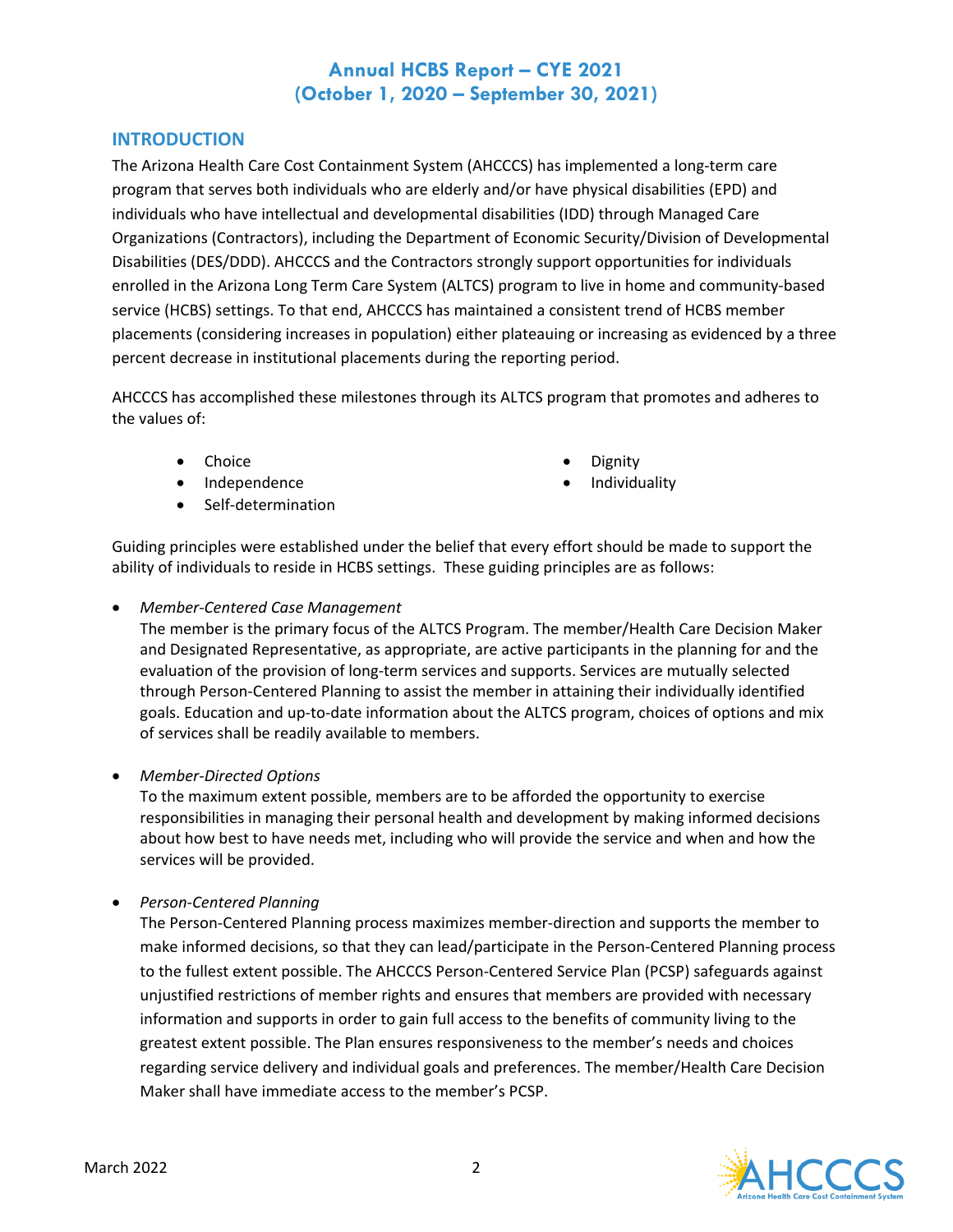### **INTRODUCTION**

The Arizona Health Care Cost Containment System (AHCCCS) has implemented a long-term care program that serves both individuals who are elderly and/or have physical disabilities (EPD) and individuals who have intellectual and developmental disabilities (IDD) through Managed Care Organizations (Contractors), including the Department of Economic Security/Division of Developmental Disabilities (DES/DDD). AHCCCS and the Contractors strongly support opportunities for individuals enrolled in the Arizona Long Term Care System (ALTCS) program to live in home and community-based service (HCBS) settings. To that end, AHCCCS has maintained a consistent trend of HCBS member placements (considering increases in population) either plateauing or increasing as evidenced by a three percent decrease in institutional placements during the reporting period.

AHCCCS has accomplished these milestones through its ALTCS program that promotes and adheres to the values of:

- Choice Dignity
- Independence Individuality
- Self-determination
- 
- 

Guiding principles were established under the belief that every effort should be made to support the ability of individuals to reside in HCBS settings. These guiding principles are as follows:

• *Member-Centered Case Management*

The member is the primary focus of the ALTCS Program. The member/Health Care Decision Maker and Designated Representative, as appropriate, are active participants in the planning for and the evaluation of the provision of long-term services and supports. Services are mutually selected through Person-Centered Planning to assist the member in attaining their individually identified goals. Education and up-to-date information about the ALTCS program, choices of options and mix of services shall be readily available to members.

• *Member-Directed Options*

To the maximum extent possible, members are to be afforded the opportunity to exercise responsibilities in managing their personal health and development by making informed decisions about how best to have needs met, including who will provide the service and when and how the services will be provided.

• *Person-Centered Planning*

The Person-Centered Planning process maximizes member-direction and supports the member to make informed decisions, so that they can lead/participate in the Person-Centered Planning process to the fullest extent possible. The AHCCCS Person-Centered Service Plan (PCSP) safeguards against unjustified restrictions of member rights and ensures that members are provided with necessary information and supports in order to gain full access to the benefits of community living to the greatest extent possible. The Plan ensures responsiveness to the member's needs and choices regarding service delivery and individual goals and preferences. The member/Health Care Decision Maker shall have immediate access to the member's PCSP.

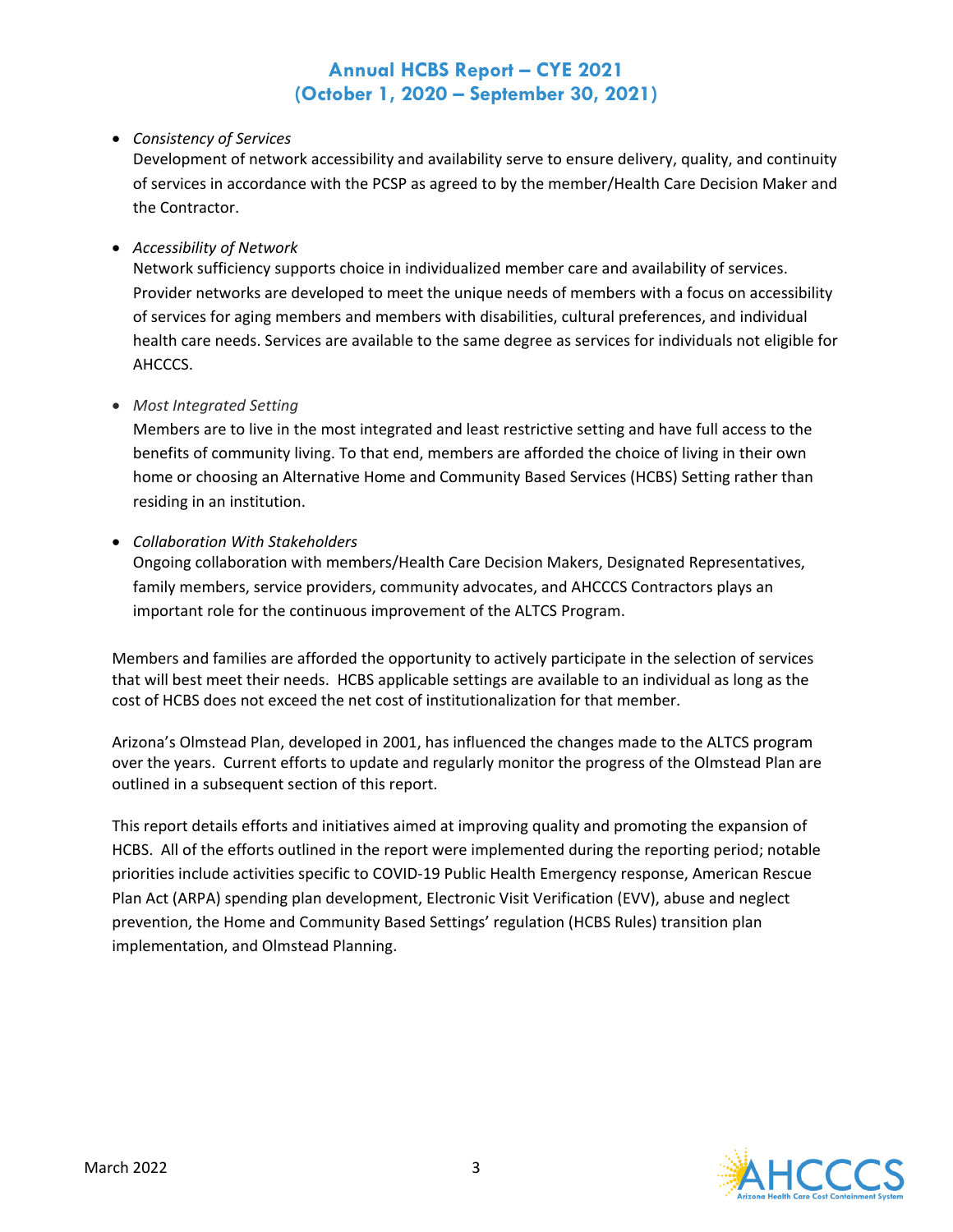### • *Consistency of Services*

Development of network accessibility and availability serve to ensure delivery, quality, and continuity of services in accordance with the PCSP as agreed to by the member/Health Care Decision Maker and the Contractor.

#### • *Accessibility of Network*

Network sufficiency supports choice in individualized member care and availability of services. Provider networks are developed to meet the unique needs of members with a focus on accessibility of services for aging members and members with disabilities, cultural preferences, and individual health care needs. Services are available to the same degree as services for individuals not eligible for AHCCCS.

#### • *Most Integrated Setting*

Members are to live in the most integrated and least restrictive setting and have full access to the benefits of community living. To that end, members are afforded the choice of living in their own home or choosing an Alternative Home and Community Based Services (HCBS) Setting rather than residing in an institution.

#### • *Collaboration With Stakeholders*

Ongoing collaboration with members/Health Care Decision Makers, Designated Representatives, family members, service providers, community advocates, and AHCCCS Contractors plays an important role for the continuous improvement of the ALTCS Program.

Members and families are afforded the opportunity to actively participate in the selection of services that will best meet their needs. HCBS applicable settings are available to an individual as long as the cost of HCBS does not exceed the net cost of institutionalization for that member.

Arizona's Olmstead Plan, developed in 2001, has influenced the changes made to the ALTCS program over the years. Current efforts to update and regularly monitor the progress of the Olmstead Plan are outlined in a subsequent section of this report.

This report details efforts and initiatives aimed at improving quality and promoting the expansion of HCBS. All of the efforts outlined in the report were implemented during the reporting period; notable priorities include activities specific to COVID-19 Public Health Emergency response, American Rescue Plan Act (ARPA) spending plan development, Electronic Visit Verification (EVV), abuse and neglect prevention, the Home and Community Based Settings' regulation (HCBS Rules) transition plan implementation, and Olmstead Planning.

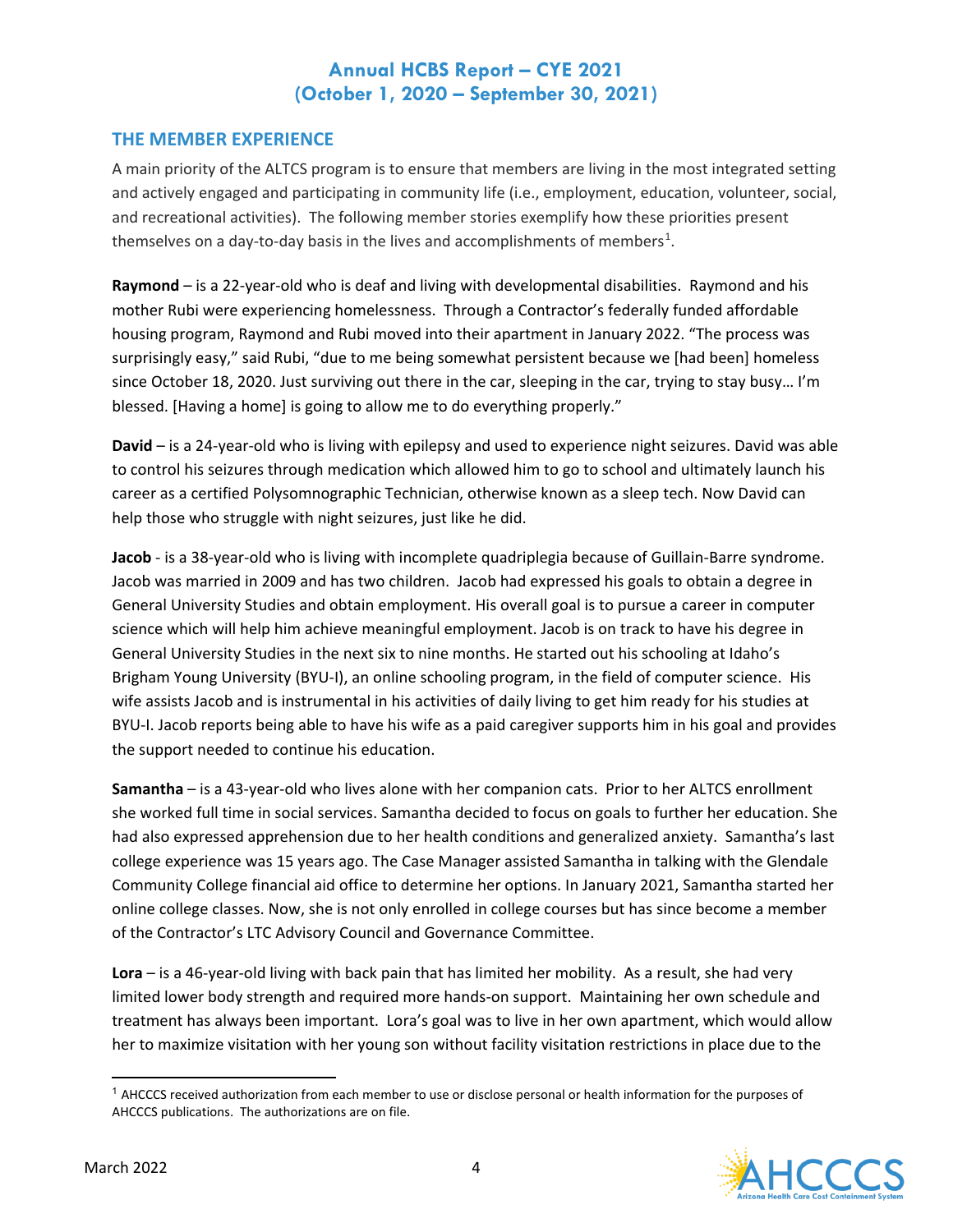### **THE MEMBER EXPERIENCE**

A main priority of the ALTCS program is to ensure that members are living in the most integrated setting and actively engaged and participating in community life (i.e., employment, education, volunteer, social, and recreational activities). The following member stories exemplify how these priorities present themselves on a day-to-day basis in the lives and accomplishments of members<sup>[1](#page-4-0)</sup>.

**Raymond** – is a 22-year-old who is deaf and living with developmental disabilities. Raymond and his mother Rubi were experiencing homelessness. Through a Contractor's federally funded affordable housing program, Raymond and Rubi moved into their apartment in January 2022. "The process was surprisingly easy," said Rubi, "due to me being somewhat persistent because we [had been] homeless since October 18, 2020. Just surviving out there in the car, sleeping in the car, trying to stay busy... I'm blessed. [Having a home] is going to allow me to do everything properly."

**David** – is a 24-year-old who is living with epilepsy and used to experience night seizures. David was able to control his seizures through medication which allowed him to go to school and ultimately launch his career as a certified Polysomnographic Technician, otherwise known as a sleep tech. Now David can help those who struggle with night seizures, just like he did.

**Jacob** - is a 38-year-old who is living with incomplete quadriplegia because of Guillain-Barre syndrome. Jacob was married in 2009 and has two children. Jacob had expressed his goals to obtain a degree in General University Studies and obtain employment. His overall goal is to pursue a career in computer science which will help him achieve meaningful employment. Jacob is on track to have his degree in General University Studies in the next six to nine months. He started out his schooling at Idaho's Brigham Young University (BYU-I), an online schooling program, in the field of computer science. His wife assists Jacob and is instrumental in his activities of daily living to get him ready for his studies at BYU-I. Jacob reports being able to have his wife as a paid caregiver supports him in his goal and provides the support needed to continue his education.

**Samantha** – is a 43-year-old who lives alone with her companion cats. Prior to her ALTCS enrollment she worked full time in social services. Samantha decided to focus on goals to further her education. She had also expressed apprehension due to her health conditions and generalized anxiety. Samantha's last college experience was 15 years ago. The Case Manager assisted Samantha in talking with the Glendale Community College financial aid office to determine her options. In January 2021, Samantha started her online college classes. Now, she is not only enrolled in college courses but has since become a member of the Contractor's LTC Advisory Council and Governance Committee.

**Lora** – is a 46-year-old living with back pain that has limited her mobility. As a result, she had very limited lower body strength and required more hands-on support. Maintaining her own schedule and treatment has always been important. Lora's goal was to live in her own apartment, which would allow her to maximize visitation with her young son without facility visitation restrictions in place due to the

<span id="page-4-0"></span><sup>&</sup>lt;sup>1</sup> AHCCCS received authorization from each member to use or disclose personal or health information for the purposes of AHCCCS publications. The authorizations are on file.

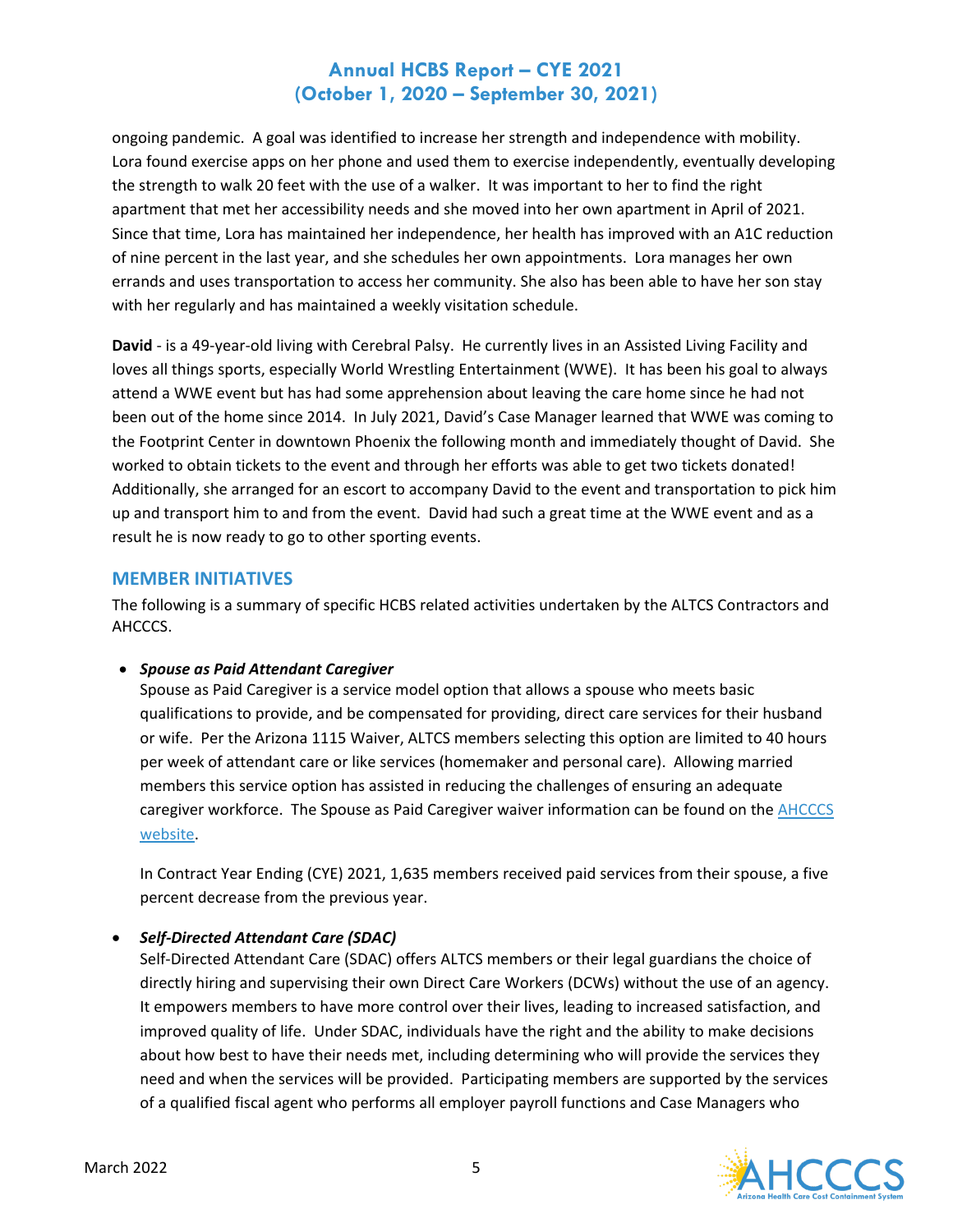ongoing pandemic. A goal was identified to increase her strength and independence with mobility. Lora found exercise apps on her phone and used them to exercise independently, eventually developing the strength to walk 20 feet with the use of a walker. It was important to her to find the right apartment that met her accessibility needs and she moved into her own apartment in April of 2021. Since that time, Lora has maintained her independence, her health has improved with an A1C reduction of nine percent in the last year, and she schedules her own appointments. Lora manages her own errands and uses transportation to access her community. She also has been able to have her son stay with her regularly and has maintained a weekly visitation schedule.

**David** - is a 49-year-old living with Cerebral Palsy. He currently lives in an Assisted Living Facility and loves all things sports, especially World Wrestling Entertainment (WWE). It has been his goal to always attend a WWE event but has had some apprehension about leaving the care home since he had not been out of the home since 2014. In July 2021, David's Case Manager learned that WWE was coming to the Footprint Center in downtown Phoenix the following month and immediately thought of David. She worked to obtain tickets to the event and through her efforts was able to get two tickets donated! Additionally, she arranged for an escort to accompany David to the event and transportation to pick him up and transport him to and from the event. David had such a great time at the WWE event and as a result he is now ready to go to other sporting events.

### **MEMBER INITIATIVES**

The following is a summary of specific HCBS related activities undertaken by the ALTCS Contractors and AHCCCS.

#### • *Spouse as Paid Attendant Caregiver*

Spouse as Paid Caregiver is a service model option that allows a spouse who meets basic qualifications to provide, and be compensated for providing, direct care services for their husband or wife. Per the Arizona 1115 Waiver, ALTCS members selecting this option are limited to 40 hours per week of attendant care or like services (homemaker and personal care). Allowing married members this service option has assisted in reducing the challenges of ensuring an adequate caregiver workforce. The Spouse as Paid Caregiver waiver information can be found on the AHCCCS [website.](https://www.azahcccs.gov/Resources/Federal/waiver.html)

In Contract Year Ending (CYE) 2021, 1,635 members received paid services from their spouse, a five percent decrease from the previous year.

### • *Self-Directed Attendant Care (SDAC)*

Self-Directed Attendant Care (SDAC) offers ALTCS members or their legal guardians the choice of directly hiring and supervising their own Direct Care Workers (DCWs) without the use of an agency. It empowers members to have more control over their lives, leading to increased satisfaction, and improved quality of life. Under SDAC, individuals have the right and the ability to make decisions about how best to have their needs met, including determining who will provide the services they need and when the services will be provided. Participating members are supported by the services of a qualified fiscal agent who performs all employer payroll functions and Case Managers who

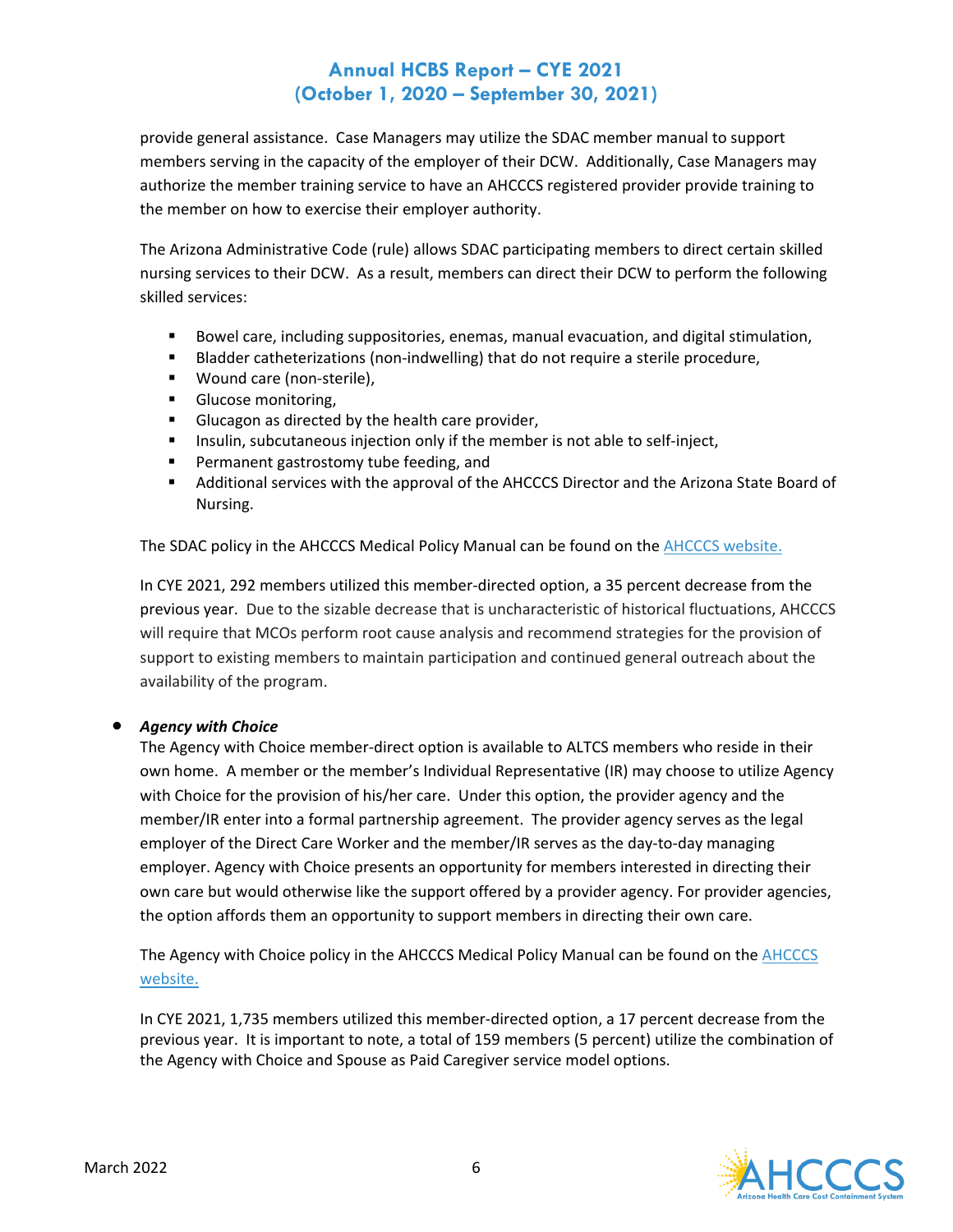provide general assistance. Case Managers may utilize the SDAC member manual to support members serving in the capacity of the employer of their DCW. Additionally, Case Managers may authorize the member training service to have an AHCCCS registered provider provide training to the member on how to exercise their employer authority.

The Arizona Administrative Code (rule) allows SDAC participating members to direct certain skilled nursing services to their DCW. As a result, members can direct their DCW to perform the following skilled services:

- Bowel care, including suppositories, enemas, manual evacuation, and digital stimulation,
- **Bladder catheterizations (non-indwelling) that do not require a sterile procedure,**
- **Wound care (non-sterile),**
- **Glucose monitoring,**
- Glucagon as directed by the health care provider,
- **Insulin, subcutaneous injection only if the member is not able to self-inject,**
- **Permanent gastrostomy tube feeding, and**
- Additional services with the approval of the AHCCCS Director and the Arizona State Board of Nursing.

The SDAC policy in the AHCCCS Medical Policy Manual can be found on th[e AHCCCS website.](https://www.azahcccs.gov/shared/MedicalPolicyManual/) 

In CYE 2021, 292 members utilized this member-directed option, a 35 percent decrease from the previous year. Due to the sizable decrease that is uncharacteristic of historical fluctuations, AHCCCS will require that MCOs perform root cause analysis and recommend strategies for the provision of support to existing members to maintain participation and continued general outreach about the availability of the program.

### • *Agency with Choice*

The Agency with Choice member-direct option is available to ALTCS members who reside in their own home. A member or the member's Individual Representative (IR) may choose to utilize Agency with Choice for the provision of his/her care. Under this option, the provider agency and the member/IR enter into a formal partnership agreement. The provider agency serves as the legal employer of the Direct Care Worker and the member/IR serves as the day-to-day managing employer. Agency with Choice presents an opportunity for members interested in directing their own care but would otherwise like the support offered by a provider agency. For provider agencies, the option affords them an opportunity to support members in directing their own care.

The Agency with Choice policy in the AHCCCS Medical Policy Manual can be found on the [AHCCCS](https://www.azahcccs.gov/shared/MedicalPolicyManual/)  [website.](https://www.azahcccs.gov/shared/MedicalPolicyManual/) 

In CYE 2021, 1,735 members utilized this member-directed option, a 17 percent decrease from the previous year. It is important to note, a total of 159 members (5 percent) utilize the combination of the Agency with Choice and Spouse as Paid Caregiver service model options.

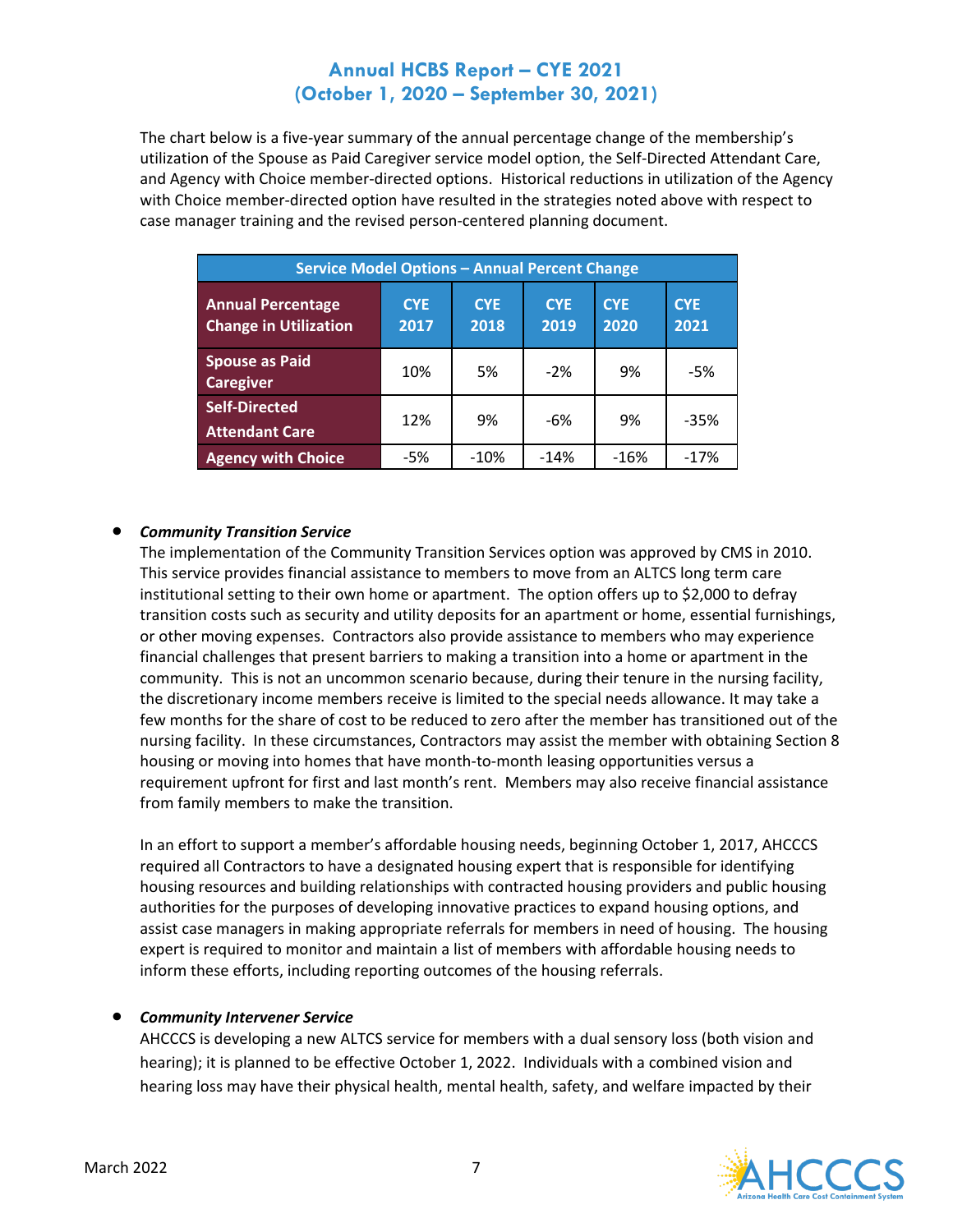The chart below is a five-year summary of the annual percentage change of the membership's utilization of the Spouse as Paid Caregiver service model option, the Self-Directed Attendant Care, and Agency with Choice member-directed options. Historical reductions in utilization of the Agency with Choice member-directed option have resulted in the strategies noted above with respect to case manager training and the revised person-centered planning document.

| <b>Service Model Options - Annual Percent Change</b>     |                    |                    |                    |                    |                    |
|----------------------------------------------------------|--------------------|--------------------|--------------------|--------------------|--------------------|
| <b>Annual Percentage</b><br><b>Change in Utilization</b> | <b>CYE</b><br>2017 | <b>CYE</b><br>2018 | <b>CYE</b><br>2019 | <b>CYE</b><br>2020 | <b>CYE</b><br>2021 |
| <b>Spouse as Paid</b><br><b>Caregiver</b>                | 10%                | 5%                 | $-2%$              | 9%                 | $-5%$              |
| <b>Self-Directed</b><br><b>Attendant Care</b>            | 12%                | 9%                 | -6%                | 9%                 | $-35%$             |
| <b>Agency with Choice</b>                                | -5%                | $-10%$             | $-14%$             | $-16%$             | $-17%$             |

#### • *Community Transition Service*

The implementation of the Community Transition Services option was approved by CMS in 2010. This service provides financial assistance to members to move from an ALTCS long term care institutional setting to their own home or apartment. The option offers up to \$2,000 to defray transition costs such as security and utility deposits for an apartment or home, essential furnishings, or other moving expenses. Contractors also provide assistance to members who may experience financial challenges that present barriers to making a transition into a home or apartment in the community. This is not an uncommon scenario because, during their tenure in the nursing facility, the discretionary income members receive is limited to the special needs allowance. It may take a few months for the share of cost to be reduced to zero after the member has transitioned out of the nursing facility. In these circumstances, Contractors may assist the member with obtaining Section 8 housing or moving into homes that have month-to-month leasing opportunities versus a requirement upfront for first and last month's rent. Members may also receive financial assistance from family members to make the transition.

In an effort to support a member's affordable housing needs, beginning October 1, 2017, AHCCCS required all Contractors to have a designated housing expert that is responsible for identifying housing resources and building relationships with contracted housing providers and public housing authorities for the purposes of developing innovative practices to expand housing options, and assist case managers in making appropriate referrals for members in need of housing. The housing expert is required to monitor and maintain a list of members with affordable housing needs to inform these efforts, including reporting outcomes of the housing referrals.

#### • *Community Intervener Service*

AHCCCS is developing a new ALTCS service for members with a dual sensory loss (both vision and hearing); it is planned to be effective October 1, 2022. Individuals with a combined vision and hearing loss may have their physical health, mental health, safety, and welfare impacted by their

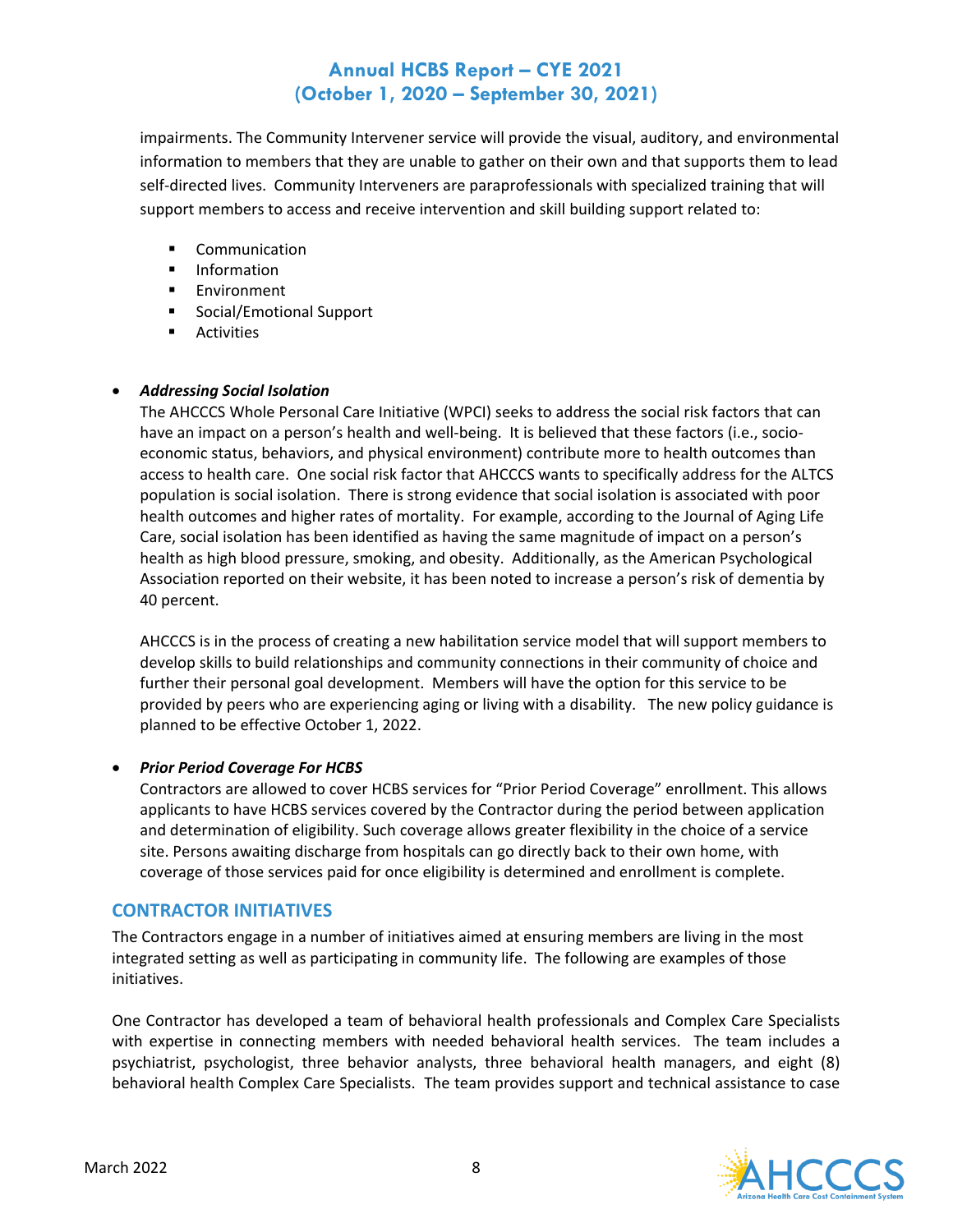impairments. The Community Intervener service will provide the visual, auditory, and environmental information to members that they are unable to gather on their own and that supports them to lead self-directed lives. Community Interveners are paraprofessionals with specialized training that will support members to access and receive intervention and skill building support related to:

- **Communication**
- **Information**
- **Environment**
- Social/Emotional Support
- **Activities**

#### • *Addressing Social Isolation*

The AHCCCS Whole Personal Care Initiative (WPCI) seeks to address the social risk factors that can have an impact on a person's health and well-being. It is believed that these factors (i.e., socioeconomic status, behaviors, and physical environment) contribute more to health outcomes than access to health care. One social risk factor that AHCCCS wants to specifically address for the ALTCS population is social isolation. There is strong evidence that social isolation is associated with poor health outcomes and higher rates of mortality. For example, according to the Journal of Aging Life Care, social isolation has been identified as having the same magnitude of impact on a person's health as high blood pressure, smoking, and obesity. Additionally, as the American Psychological Association reported on their website, it has been noted to increase a person's risk of dementia by 40 percent.

AHCCCS is in the process of creating a new habilitation service model that will support members to develop skills to build relationships and community connections in their community of choice and further their personal goal development. Members will have the option for this service to be provided by peers who are experiencing aging or living with a disability. The new policy guidance is planned to be effective October 1, 2022.

### • *Prior Period Coverage For HCBS*

Contractors are allowed to cover HCBS services for "Prior Period Coverage" enrollment. This allows applicants to have HCBS services covered by the Contractor during the period between application and determination of eligibility. Such coverage allows greater flexibility in the choice of a service site. Persons awaiting discharge from hospitals can go directly back to their own home, with coverage of those services paid for once eligibility is determined and enrollment is complete.

### **CONTRACTOR INITIATIVES**

The Contractors engage in a number of initiatives aimed at ensuring members are living in the most integrated setting as well as participating in community life. The following are examples of those initiatives.

One Contractor has developed a team of behavioral health professionals and Complex Care Specialists with expertise in connecting members with needed behavioral health services. The team includes a psychiatrist, psychologist, three behavior analysts, three behavioral health managers, and eight (8) behavioral health Complex Care Specialists. The team provides support and technical assistance to case

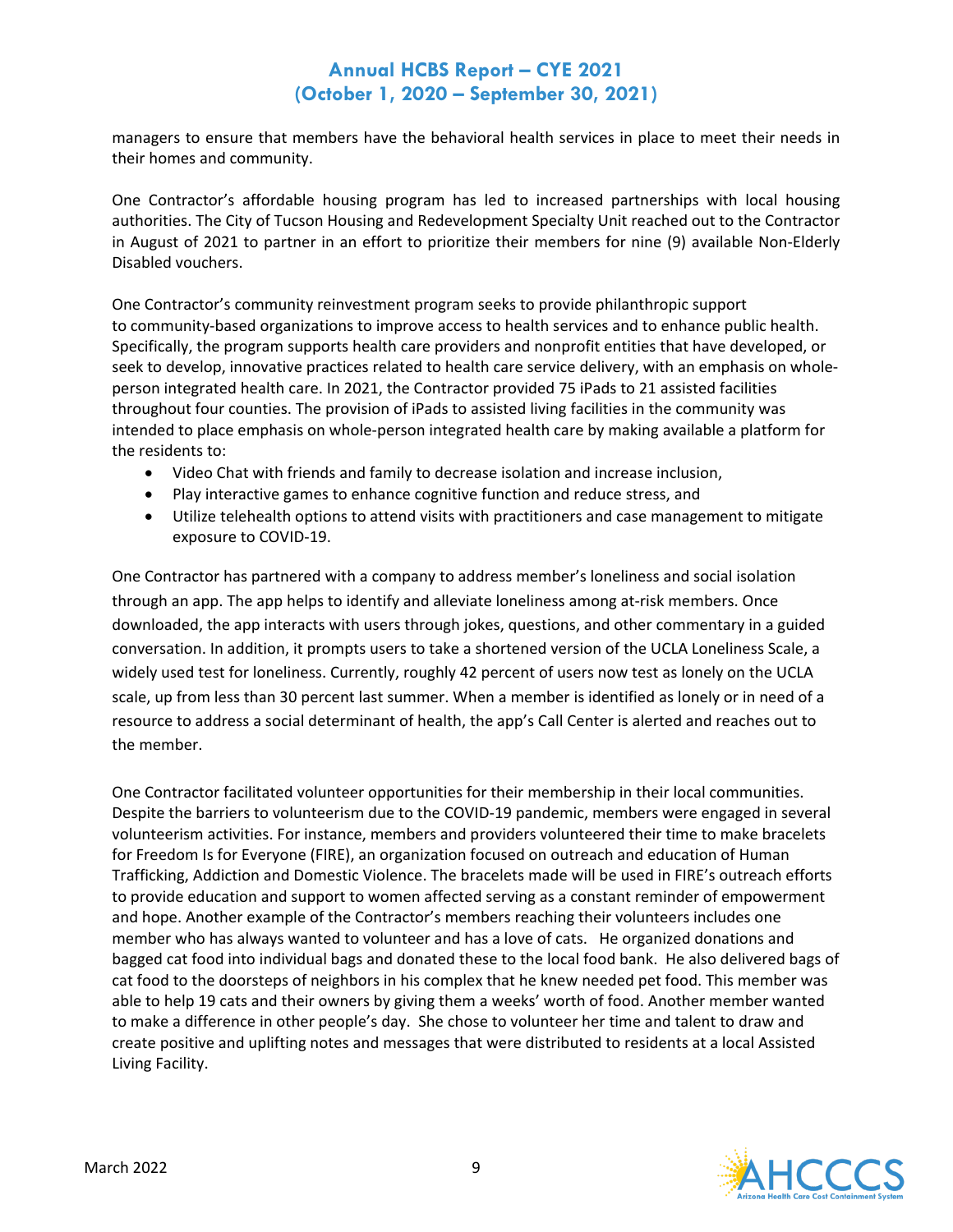managers to ensure that members have the behavioral health services in place to meet their needs in their homes and community.

One Contractor's affordable housing program has led to increased partnerships with local housing authorities. The City of Tucson Housing and Redevelopment Specialty Unit reached out to the Contractor in August of 2021 to partner in an effort to prioritize their members for nine (9) available Non-Elderly Disabled vouchers.

One Contractor's community reinvestment program seeks to provide philanthropic support to community-based organizations to improve access to health services and to enhance public health. Specifically, the program supports health care providers and nonprofit entities that have developed, or seek to develop, innovative practices related to health care service delivery, with an emphasis on wholeperson integrated health care. In 2021, the Contractor provided 75 iPads to 21 assisted facilities throughout four counties. The provision of iPads to assisted living facilities in the community was intended to place emphasis on whole-person integrated health care by making available a platform for the residents to:

- Video Chat with friends and family to decrease isolation and increase inclusion,
- Play interactive games to enhance cognitive function and reduce stress, and
- Utilize telehealth options to attend visits with practitioners and case management to mitigate exposure to COVID-19.

One Contractor has partnered with a company to address member's loneliness and social isolation through an app. The app helps to identify and alleviate loneliness among at-risk members. Once downloaded, the app interacts with users through jokes, questions, and other commentary in a guided conversation. In addition, it prompts users to take a shortened version of the UCLA Loneliness Scale, a widely used test for loneliness. Currently, roughly 42 percent of users now test as lonely on the UCLA scale, up from less than 30 percent last summer. When a member is identified as lonely or in need of a resource to address a social determinant of health, the app's Call Center is alerted and reaches out to the member.

One Contractor facilitated volunteer opportunities for their membership in their local communities. Despite the barriers to volunteerism due to the COVID-19 pandemic, members were engaged in several volunteerism activities. For instance, members and providers volunteered their time to make bracelets for Freedom Is for Everyone (FIRE), an organization focused on outreach and education of Human Trafficking, Addiction and Domestic Violence. The bracelets made will be used in FIRE's outreach efforts to provide education and support to women affected serving as a constant reminder of empowerment and hope. Another example of the Contractor's members reaching their volunteers includes one member who has always wanted to volunteer and has a love of cats. He organized donations and bagged cat food into individual bags and donated these to the local food bank. He also delivered bags of cat food to the doorsteps of neighbors in his complex that he knew needed pet food. This member was able to help 19 cats and their owners by giving them a weeks' worth of food. Another member wanted to make a difference in other people's day. She chose to volunteer her time and talent to draw and create positive and uplifting notes and messages that were distributed to residents at a local Assisted Living Facility.

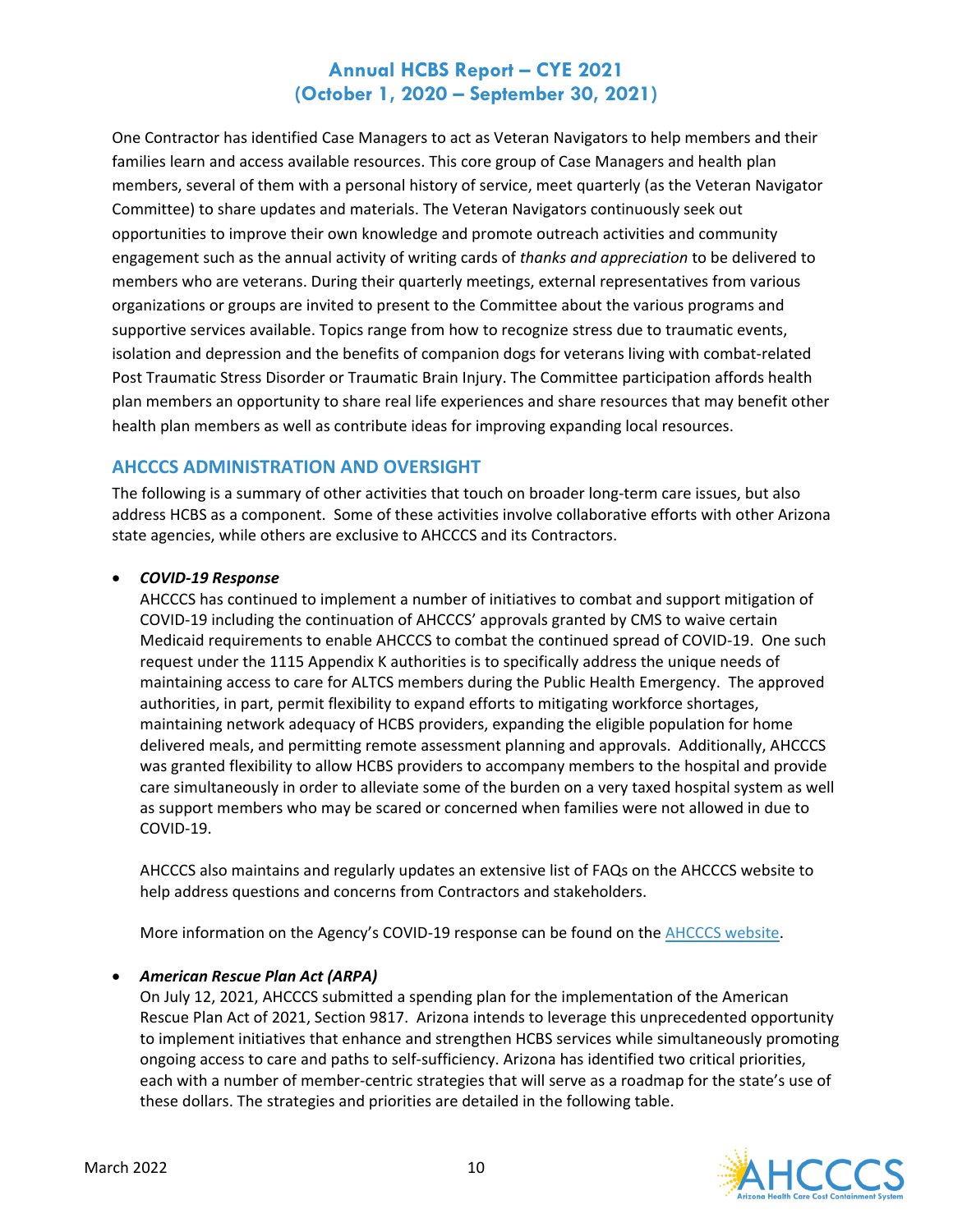One Contractor has identified Case Managers to act as Veteran Navigators to help members and their families learn and access available resources. This core group of Case Managers and health plan members, several of them with a personal history of service, meet quarterly (as the Veteran Navigator Committee) to share updates and materials. The Veteran Navigators continuously seek out opportunities to improve their own knowledge and promote outreach activities and community engagement such as the annual activity of writing cards of *thanks and appreciation* to be delivered to members who are veterans. During their quarterly meetings, external representatives from various organizations or groups are invited to present to the Committee about the various programs and supportive services available. Topics range from how to recognize stress due to traumatic events, isolation and depression and the benefits of companion dogs for veterans living with combat-related Post Traumatic Stress Disorder or Traumatic Brain Injury. The Committee participation affords health plan members an opportunity to share real life experiences and share resources that may benefit other health plan members as well as contribute ideas for improving expanding local resources.

### **AHCCCS ADMINISTRATION AND OVERSIGHT**

The following is a summary of other activities that touch on broader long-term care issues, but also address HCBS as a component. Some of these activities involve collaborative efforts with other Arizona state agencies, while others are exclusive to AHCCCS and its Contractors.

### • *COVID-19 Response*

AHCCCS has continued to implement a number of initiatives to combat and support mitigation of COVID-19 including the continuation of AHCCCS' approvals granted by CMS to waive certain Medicaid requirements to enable AHCCCS to combat the continued spread of COVID-19. One such request under the 1115 Appendix K authorities is to specifically address the unique needs of maintaining access to care for ALTCS members during the Public Health Emergency. The approved authorities, in part, permit flexibility to expand efforts to mitigating workforce shortages, maintaining network adequacy of HCBS providers, expanding the eligible population for home delivered meals, and permitting remote assessment planning and approvals. Additionally, AHCCCS was granted flexibility to allow HCBS providers to accompany members to the hospital and provide care simultaneously in order to alleviate some of the burden on a very taxed hospital system as well as support members who may be scared or concerned when families were not allowed in due to COVID-19.

AHCCCS also maintains and regularly updates an extensive list of FAQs on the AHCCCS website to help address questions and concerns from Contractors and stakeholders.

More information on the Agency's COVID-19 response can be found on th[e AHCCCS website.](https://azahcccs.gov/AHCCCS/AboutUs/covid19.html)

### • *American Rescue Plan Act (ARPA)*

On July 12, 2021, AHCCCS submitted a spending plan for the implementation of the American Rescue Plan Act of 2021, Section 9817. Arizona intends to leverage this unprecedented opportunity to implement initiatives that enhance and strengthen HCBS services while simultaneously promoting ongoing access to care and paths to self-sufficiency. Arizona has identified two critical priorities, each with a number of member-centric strategies that will serve as a roadmap for the state's use of these dollars. The strategies and priorities are detailed in the following table.

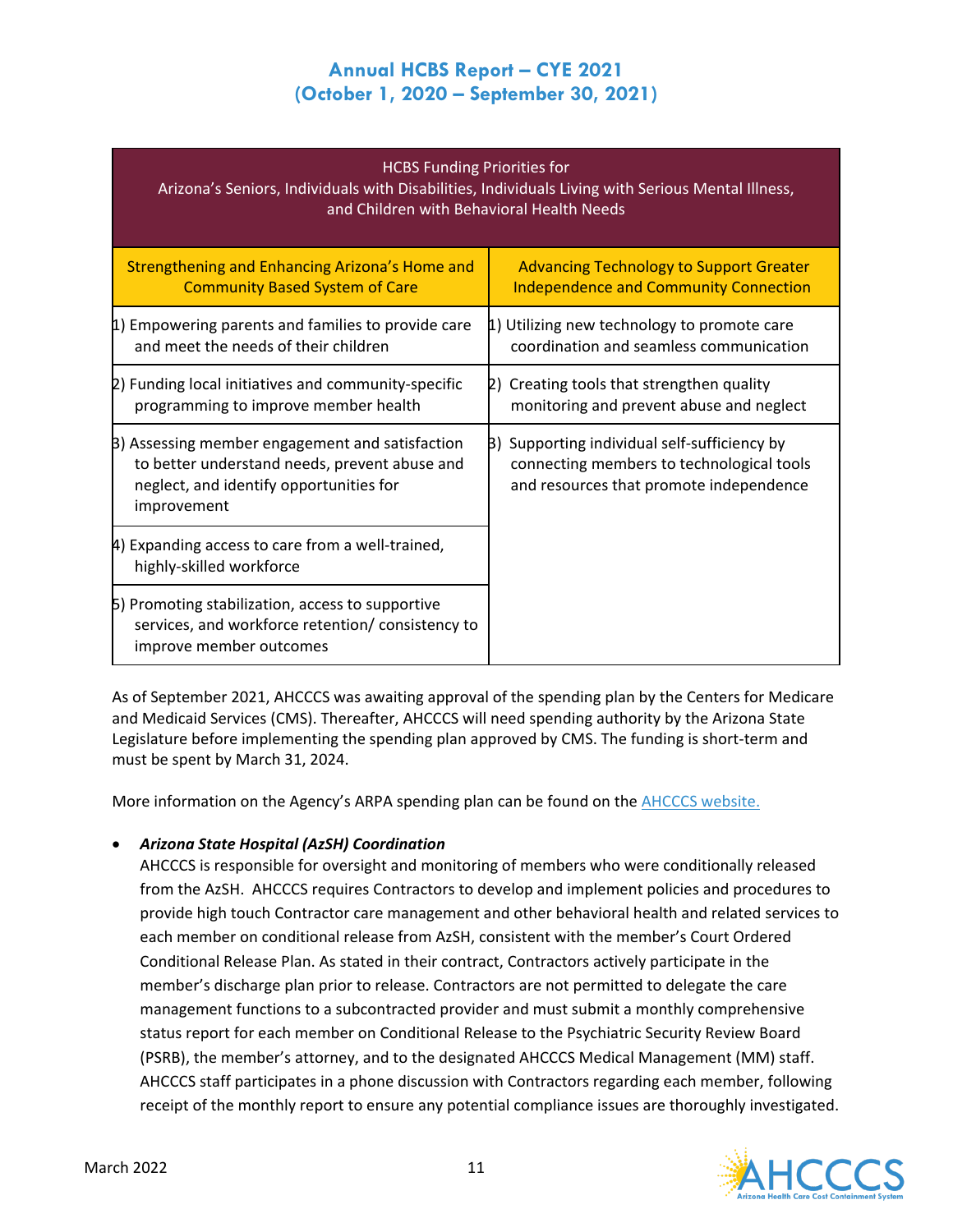#### HCBS Funding Priorities for

Arizona's Seniors, Individuals with Disabilities, Individuals Living with Serious Mental Illness, and Children with Behavioral Health Needs

| Strengthening and Enhancing Arizona's Home and                                                                                                             | <b>Advancing Technology to Support Greater</b>                                                                                       |
|------------------------------------------------------------------------------------------------------------------------------------------------------------|--------------------------------------------------------------------------------------------------------------------------------------|
| <b>Community Based System of Care</b>                                                                                                                      | <b>Independence and Community Connection</b>                                                                                         |
| 1) Empowering parents and families to provide care                                                                                                         | 1) Utilizing new technology to promote care                                                                                          |
| and meet the needs of their children                                                                                                                       | coordination and seamless communication                                                                                              |
| 2) Funding local initiatives and community-specific                                                                                                        | 2) Creating tools that strengthen quality                                                                                            |
| programming to improve member health                                                                                                                       | monitoring and prevent abuse and neglect                                                                                             |
| B) Assessing member engagement and satisfaction<br>to better understand needs, prevent abuse and<br>neglect, and identify opportunities for<br>improvement | B) Supporting individual self-sufficiency by<br>connecting members to technological tools<br>and resources that promote independence |
| 4) Expanding access to care from a well-trained,<br>highly-skilled workforce                                                                               |                                                                                                                                      |
| 5) Promoting stabilization, access to supportive<br>services, and workforce retention/consistency to<br>improve member outcomes                            |                                                                                                                                      |

As of September 2021, AHCCCS was awaiting approval of the spending plan by the Centers for Medicare and Medicaid Services (CMS). Thereafter, AHCCCS will need spending authority by the Arizona State Legislature before implementing the spending plan approved by CMS. The funding is short-term and must be spent by March 31, 2024.

More information on the Agency's ARPA spending plan can be found on the [AHCCCS website.](https://www.azahcccs.gov/AHCCCS/Initiatives/ARPA/index.html)

### • *Arizona State Hospital (AzSH) Coordination*

AHCCCS is responsible for oversight and monitoring of members who were conditionally released from the AzSH. AHCCCS requires Contractors to develop and implement policies and procedures to provide high touch Contractor care management and other behavioral health and related services to each member on conditional release from AzSH, consistent with the member's Court Ordered Conditional Release Plan. As stated in their contract, Contractors actively participate in the member's discharge plan prior to release. Contractors are not permitted to delegate the care management functions to a subcontracted provider and must submit a monthly comprehensive status report for each member on Conditional Release to the Psychiatric Security Review Board (PSRB), the member's attorney, and to the designated AHCCCS Medical Management (MM) staff. AHCCCS staff participates in a phone discussion with Contractors regarding each member, following receipt of the monthly report to ensure any potential compliance issues are thoroughly investigated.

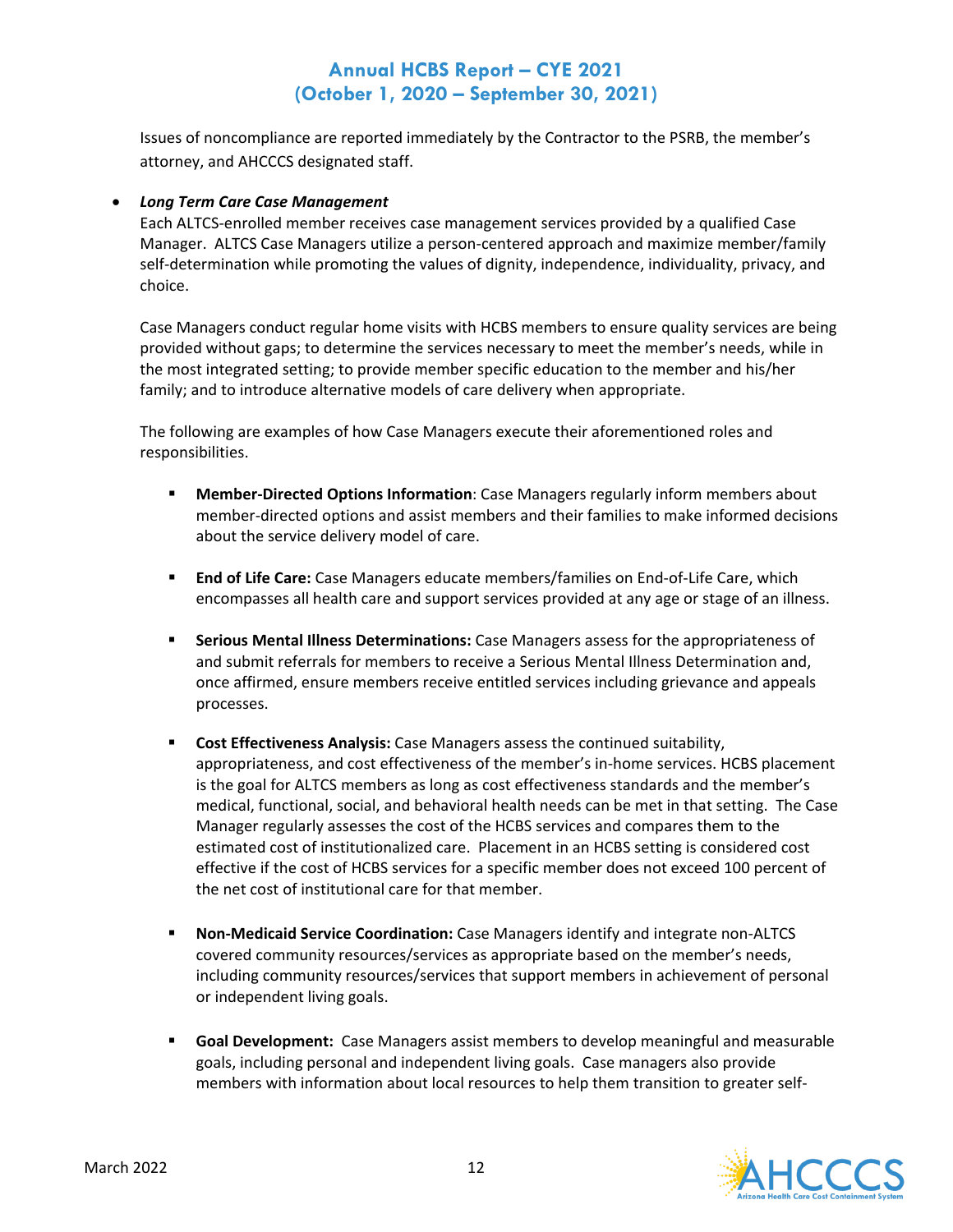Issues of noncompliance are reported immediately by the Contractor to the PSRB, the member's attorney, and AHCCCS designated staff.

#### • *Long Term Care Case Management*

Each ALTCS-enrolled member receives case management services provided by a qualified Case Manager. ALTCS Case Managers utilize a person-centered approach and maximize member/family self-determination while promoting the values of dignity, independence, individuality, privacy, and choice.

Case Managers conduct regular home visits with HCBS members to ensure quality services are being provided without gaps; to determine the services necessary to meet the member's needs, while in the most integrated setting; to provide member specific education to the member and his/her family; and to introduce alternative models of care delivery when appropriate.

The following are examples of how Case Managers execute their aforementioned roles and responsibilities.

- **Member-Directed Options Information**: Case Managers regularly inform members about member-directed options and assist members and their families to make informed decisions about the service delivery model of care.
- **End of Life Care:** Case Managers educate members/families on End-of-Life Care, which encompasses all health care and support services provided at any age or stage of an illness.
- **Serious Mental Illness Determinations:** Case Managers assess for the appropriateness of and submit referrals for members to receive a Serious Mental Illness Determination and, once affirmed, ensure members receive entitled services including grievance and appeals processes.
- **Cost Effectiveness Analysis:** Case Managers assess the continued suitability, appropriateness, and cost effectiveness of the member's in-home services. HCBS placement is the goal for ALTCS members as long as cost effectiveness standards and the member's medical, functional, social, and behavioral health needs can be met in that setting. The Case Manager regularly assesses the cost of the HCBS services and compares them to the estimated cost of institutionalized care. Placement in an HCBS setting is considered cost effective if the cost of HCBS services for a specific member does not exceed 100 percent of the net cost of institutional care for that member.
- **Non-Medicaid Service Coordination:** Case Managers identify and integrate non-ALTCS covered community resources/services as appropriate based on the member's needs, including community resources/services that support members in achievement of personal or independent living goals.
- **Goal Development:** Case Managers assist members to develop meaningful and measurable goals, including personal and independent living goals. Case managers also provide members with information about local resources to help them transition to greater self-

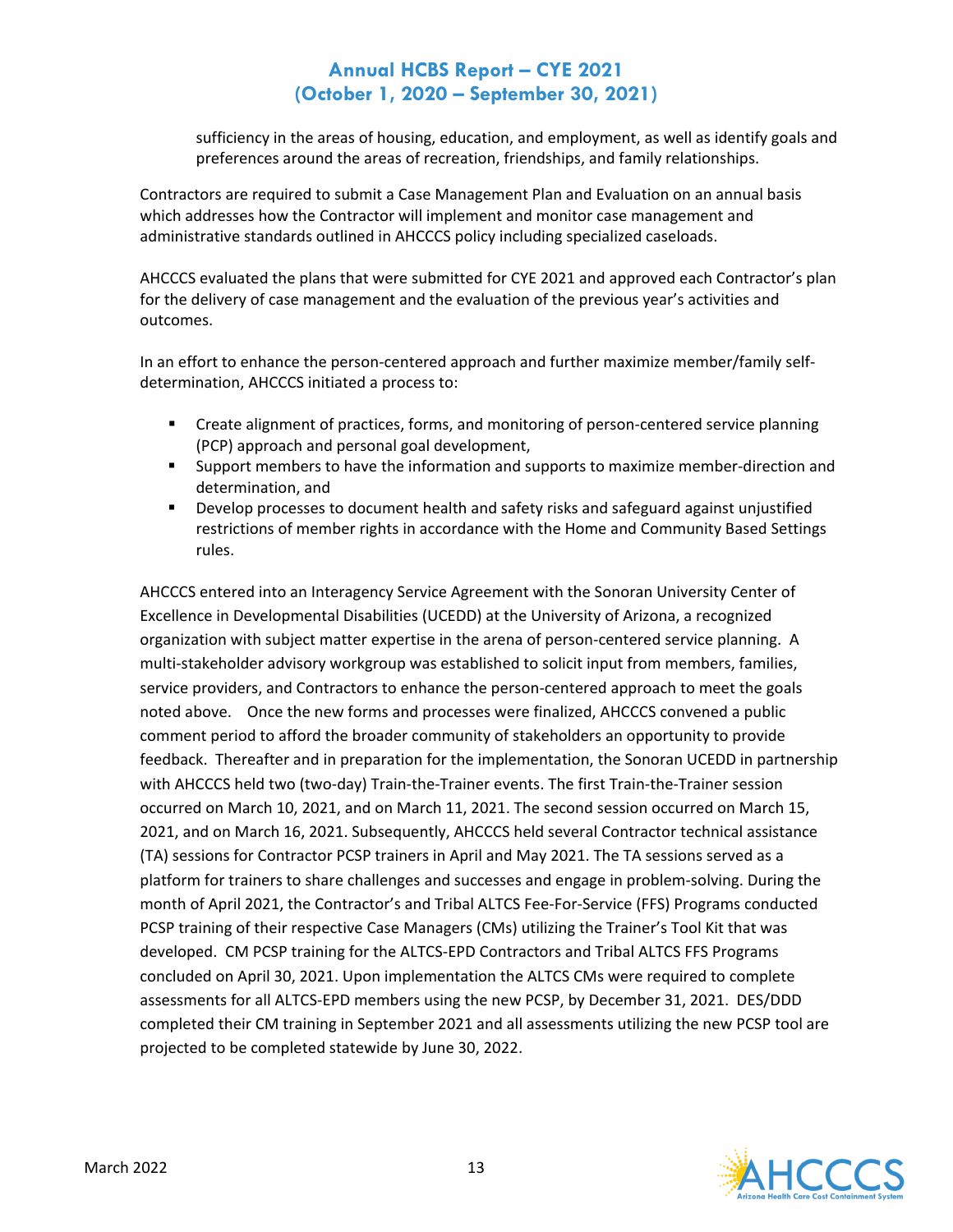sufficiency in the areas of housing, education, and employment, as well as identify goals and preferences around the areas of recreation, friendships, and family relationships.

Contractors are required to submit a Case Management Plan and Evaluation on an annual basis which addresses how the Contractor will implement and monitor case management and administrative standards outlined in AHCCCS policy including specialized caseloads.

AHCCCS evaluated the plans that were submitted for CYE 2021 and approved each Contractor's plan for the delivery of case management and the evaluation of the previous year's activities and outcomes.

In an effort to enhance the person-centered approach and further maximize member/family selfdetermination, AHCCCS initiated a process to:

- **EXECT** Create alignment of practices, forms, and monitoring of person-centered service planning (PCP) approach and personal goal development,
- Support members to have the information and supports to maximize member-direction and determination, and
- Develop processes to document health and safety risks and safeguard against unjustified restrictions of member rights in accordance with the Home and Community Based Settings rules.

AHCCCS entered into an Interagency Service Agreement with the Sonoran University Center of Excellence in Developmental Disabilities (UCEDD) at the University of Arizona, a recognized organization with subject matter expertise in the arena of person-centered service planning. A multi-stakeholder advisory workgroup was established to solicit input from members, families, service providers, and Contractors to enhance the person-centered approach to meet the goals noted above. Once the new forms and processes were finalized, AHCCCS convened a public comment period to afford the broader community of stakeholders an opportunity to provide feedback. Thereafter and in preparation for the implementation, the Sonoran UCEDD in partnership with AHCCCS held two (two-day) Train-the-Trainer events. The first Train-the-Trainer session occurred on March 10, 2021, and on March 11, 2021. The second session occurred on March 15, 2021, and on March 16, 2021. Subsequently, AHCCCS held several Contractor technical assistance (TA) sessions for Contractor PCSP trainers in April and May 2021. The TA sessions served as a platform for trainers to share challenges and successes and engage in problem-solving. During the month of April 2021, the Contractor's and Tribal ALTCS Fee-For-Service (FFS) Programs conducted PCSP training of their respective Case Managers (CMs) utilizing the Trainer's Tool Kit that was developed. CM PCSP training for the ALTCS-EPD Contractors and Tribal ALTCS FFS Programs concluded on April 30, 2021. Upon implementation the ALTCS CMs were required to complete assessments for all ALTCS-EPD members using the new PCSP, by December 31, 2021. DES/DDD completed their CM training in September 2021 and all assessments utilizing the new PCSP tool are projected to be completed statewide by June 30, 2022.

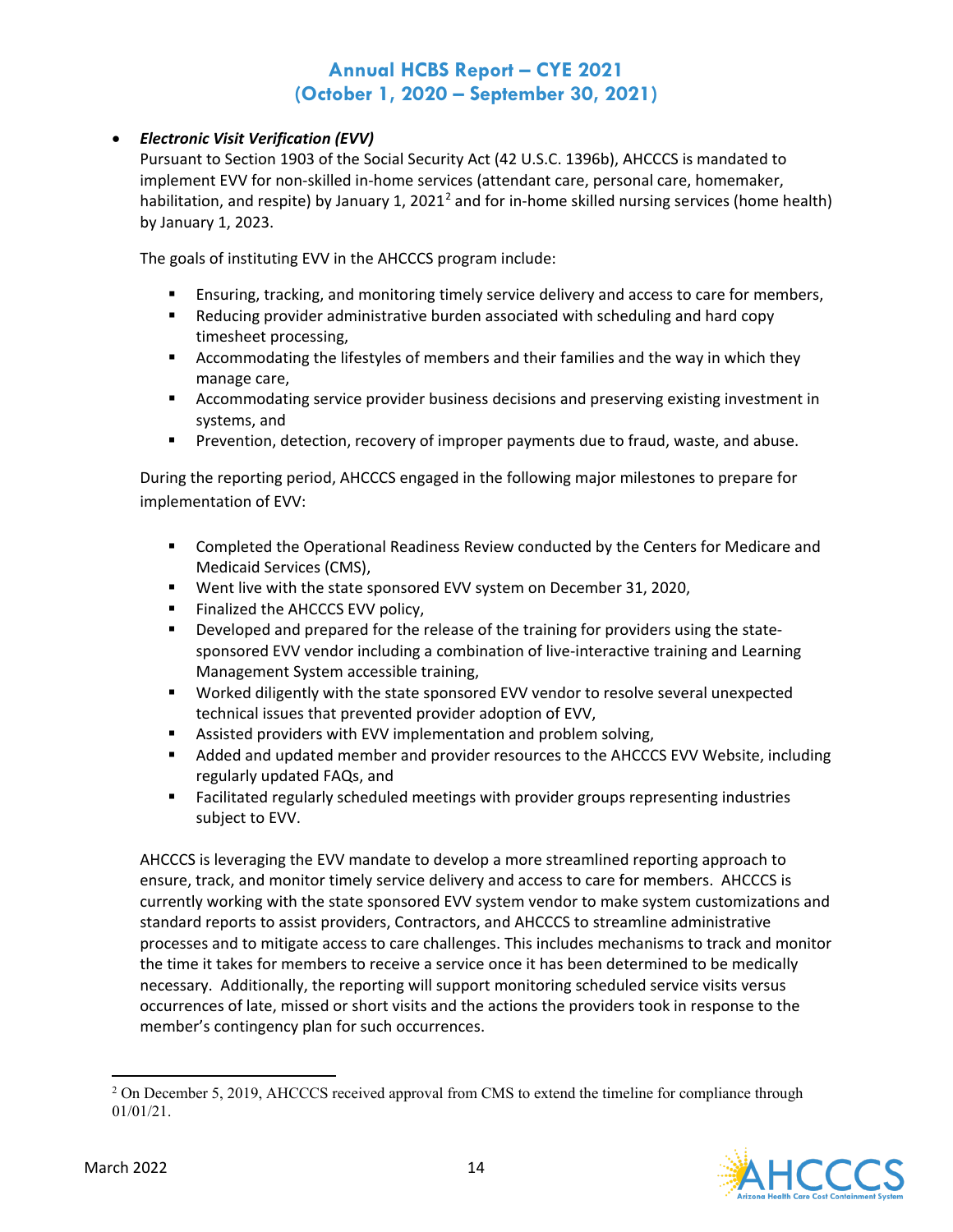### • *Electronic Visit Verification (EVV)*

Pursuant to Section 1903 of the Social Security Act (42 U.S.C. 1396b), AHCCCS is mandated to implement EVV for non-skilled in-home services (attendant care, personal care, homemaker, habilitation, and respite) by January 1, [2](#page-14-0)021<sup>2</sup> and for in-home skilled nursing services (home health) by January 1, 2023.

The goals of instituting EVV in the AHCCCS program include:

- Ensuring, tracking, and monitoring timely service delivery and access to care for members,
- Reducing provider administrative burden associated with scheduling and hard copy timesheet processing,
- Accommodating the lifestyles of members and their families and the way in which they manage care,
- **EXECOMMODATION SERVICE PROVIDER SERVICES SERVICES AND ACCOMMODATION FIGURAL SERVICES** Accommodating service provider business details and accommodating service provider business decisions and presentsion and accommodating systems, and
- **Prevention, detection, recovery of improper payments due to fraud, waste, and abuse.**

During the reporting period, AHCCCS engaged in the following major milestones to prepare for implementation of EVV:

- **Completed the Operational Readiness Review conducted by the Centers for Medicare and** Medicaid Services (CMS),
- Went live with the state sponsored EVV system on December 31, 2020,
- Finalized the AHCCCS EVV policy,
- **Developed and prepared for the release of the training for providers using the state**sponsored EVV vendor including a combination of live-interactive training and Learning Management System accessible training,
- Worked diligently with the state sponsored EVV vendor to resolve several unexpected technical issues that prevented provider adoption of EVV,
- Assisted providers with EVV implementation and problem solving,
- **Added and updated member and provider resources to the AHCCCS EVV Website, including** regularly updated FAQs, and
- Facilitated regularly scheduled meetings with provider groups representing industries subject to EVV.

AHCCCS is leveraging the EVV mandate to develop a more streamlined reporting approach to ensure, track, and monitor timely service delivery and access to care for members. AHCCCS is currently working with the state sponsored EVV system vendor to make system customizations and standard reports to assist providers, Contractors, and AHCCCS to streamline administrative processes and to mitigate access to care challenges. This includes mechanisms to track and monitor the time it takes for members to receive a service once it has been determined to be medically necessary. Additionally, the reporting will support monitoring scheduled service visits versus occurrences of late, missed or short visits and the actions the providers took in response to the member's contingency plan for such occurrences.

<span id="page-14-0"></span><sup>&</sup>lt;sup>2</sup> On December 5, 2019, AHCCCS received approval from CMS to extend the timeline for compliance through 01/01/21.

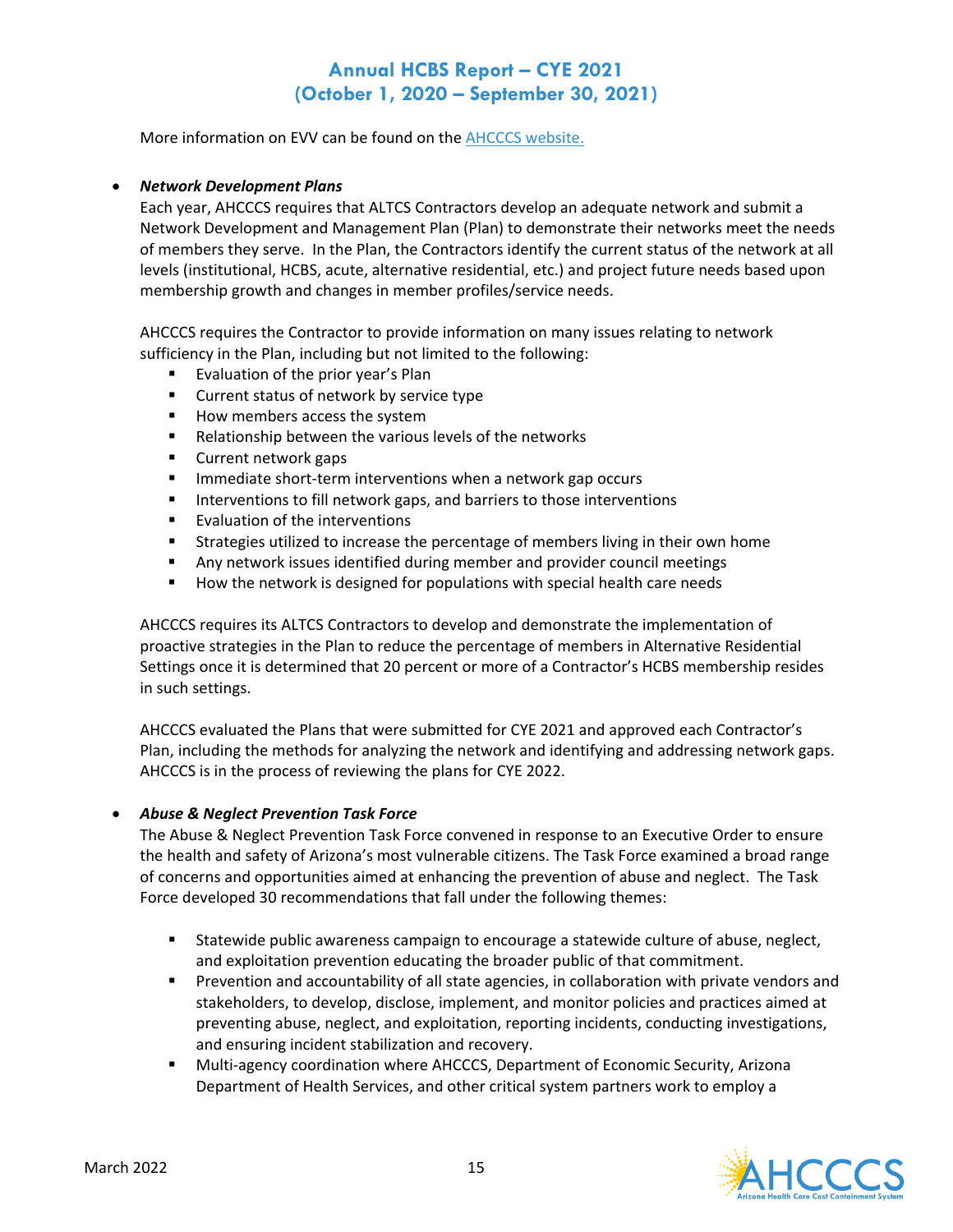More information on EVV can be found on the [AHCCCS website.](http://www.azahcccs.gov/evv) 

#### • *Network Development Plans*

Each year, AHCCCS requires that ALTCS Contractors develop an adequate network and submit a Network Development and Management Plan (Plan) to demonstrate their networks meet the needs of members they serve. In the Plan, the Contractors identify the current status of the network at all levels (institutional, HCBS, acute, alternative residential, etc.) and project future needs based upon membership growth and changes in member profiles/service needs.

AHCCCS requires the Contractor to provide information on many issues relating to network sufficiency in the Plan, including but not limited to the following:

- **Exaluation of the prior year's Plan**
- **EXECUTE:** Current status of network by service type
- How members access the system
- Relationship between the various levels of the networks
- **Current network gaps**
- **IMMED 11 Immediate short-term interventions when a network gap occurs**
- **IF** Interventions to fill network gaps, and barriers to those interventions
- **Evaluation of the interventions**
- Strategies utilized to increase the percentage of members living in their own home
- Any network issues identified during member and provider council meetings
- **How the network is designed for populations with special health care needs**

AHCCCS requires its ALTCS Contractors to develop and demonstrate the implementation of proactive strategies in the Plan to reduce the percentage of members in Alternative Residential Settings once it is determined that 20 percent or more of a Contractor's HCBS membership resides in such settings.

AHCCCS evaluated the Plans that were submitted for CYE 2021 and approved each Contractor's Plan, including the methods for analyzing the network and identifying and addressing network gaps. AHCCCS is in the process of reviewing the plans for CYE 2022.

#### • *Abuse & Neglect Prevention Task Force*

The Abuse & Neglect Prevention Task Force convened in response to an Executive Order to ensure the health and safety of Arizona's most vulnerable citizens. The Task Force examined a broad range of concerns and opportunities aimed at enhancing the prevention of abuse and neglect. The Task Force developed 30 recommendations that fall under the following themes:

- Statewide public awareness campaign to encourage a statewide culture of abuse, neglect, and exploitation prevention educating the broader public of that commitment.
- **Prevention and accountability of all state agencies, in collaboration with private vendors and** stakeholders, to develop, disclose, implement, and monitor policies and practices aimed at preventing abuse, neglect, and exploitation, reporting incidents, conducting investigations, and ensuring incident stabilization and recovery.
- Multi-agency coordination where AHCCCS, Department of Economic Security, Arizona Department of Health Services, and other critical system partners work to employ a

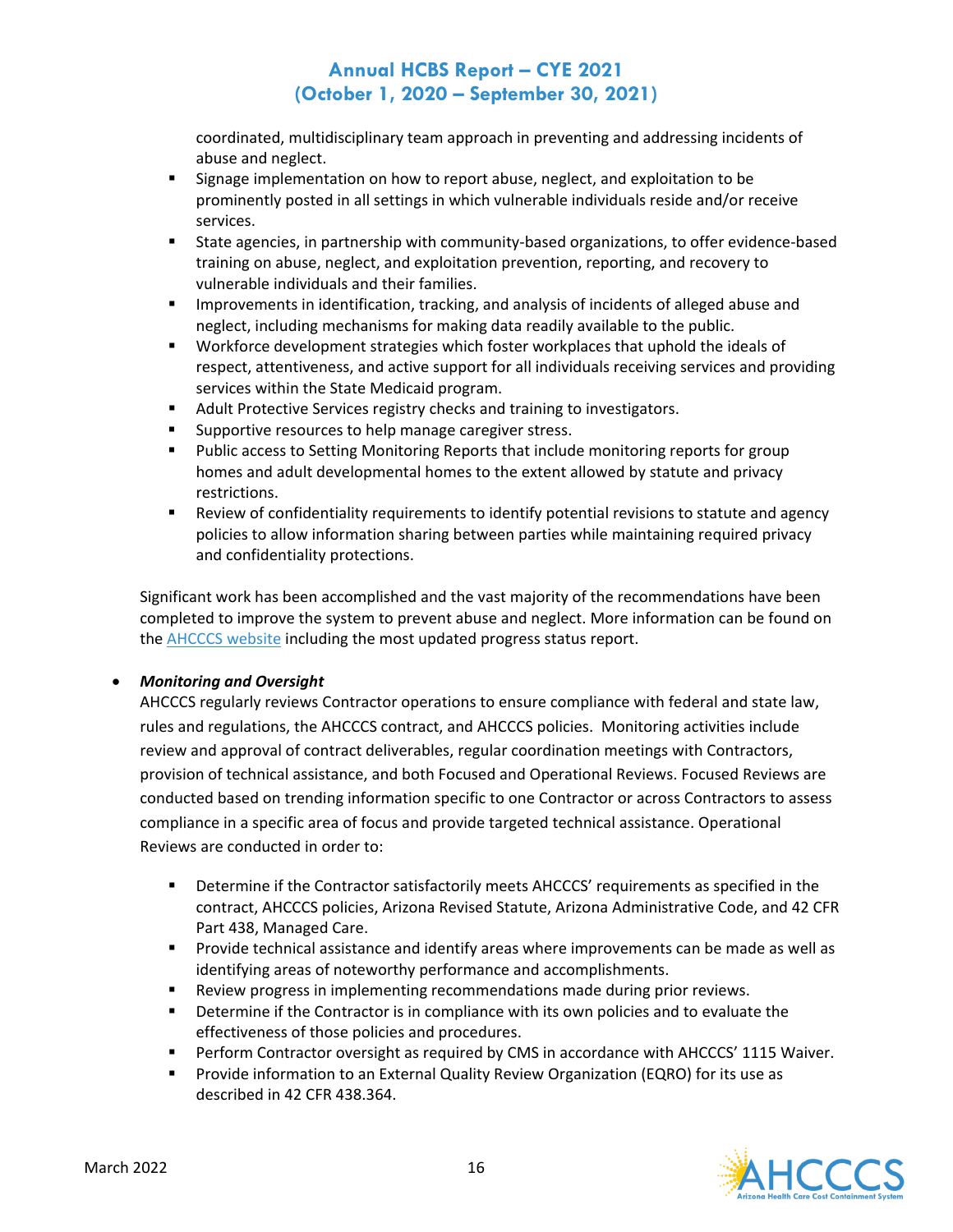coordinated, multidisciplinary team approach in preventing and addressing incidents of abuse and neglect.

- **Signage implementation on how to report abuse, neglect, and exploitation to be** prominently posted in all settings in which vulnerable individuals reside and/or receive services.
- State agencies, in partnership with community-based organizations, to offer evidence-based training on abuse, neglect, and exploitation prevention, reporting, and recovery to vulnerable individuals and their families.
- **IMPRO** Improvements in identification, tracking, and analysis of incidents of alleged abuse and neglect, including mechanisms for making data readily available to the public.
- Workforce development strategies which foster workplaces that uphold the ideals of respect, attentiveness, and active support for all individuals receiving services and providing services within the State Medicaid program.
- **Adult Protective Services registry checks and training to investigators.**
- **Supportive resources to help manage caregiver stress.**
- **Public access to Setting Monitoring Reports that include monitoring reports for group** homes and adult developmental homes to the extent allowed by statute and privacy restrictions.
- **EXECT** Review of confidentiality requirements to identify potential revisions to statute and agency policies to allow information sharing between parties while maintaining required privacy and confidentiality protections.

Significant work has been accomplished and the vast majority of the recommendations have been completed to improve the system to prevent abuse and neglect. More information can be found on the [AHCCCS website](https://www.azahcccs.gov/AHCCCS/CommitteesAndWorkgroups/abuseneglect.html) including the most updated progress status report.

### • *Monitoring and Oversight*

AHCCCS regularly reviews Contractor operations to ensure compliance with federal and state law, rules and regulations, the AHCCCS contract, and AHCCCS policies. Monitoring activities include review and approval of contract deliverables, regular coordination meetings with Contractors, provision of technical assistance, and both Focused and Operational Reviews. Focused Reviews are conducted based on trending information specific to one Contractor or across Contractors to assess compliance in a specific area of focus and provide targeted technical assistance. Operational Reviews are conducted in order to:

- Determine if the Contractor satisfactorily meets AHCCCS' requirements as specified in the contract, AHCCCS policies, Arizona Revised Statute, Arizona Administrative Code, and 42 CFR Part 438, Managed Care.
- **Provide technical assistance and identify areas where improvements can be made as well as** identifying areas of noteworthy performance and accomplishments.
- **Review progress in implementing recommendations made during prior reviews.**
- **PEDETER IF 19 IS 20 IS 20 IS 20 IS 20 IS 20 IS 20 IS 20 IS 20 IS 20 IS 20 IS 20 IS 20 IS 20 IS 20 IS 20 IS 20 IS 20 IS 20 IS 20 IS 20 IS 20 IS 20 IS 20 IS 20 IS 20 IS 20 IS 20 IS 20 IS 20 IS 20 IS 20 IS 20 IS 20 IS 20 IS** effectiveness of those policies and procedures.
- **Perform Contractor oversight as required by CMS in accordance with AHCCCS' 1115 Waiver.**
- **Provide information to an External Quality Review Organization (EQRO) for its use as** described in 42 CFR 438.364.

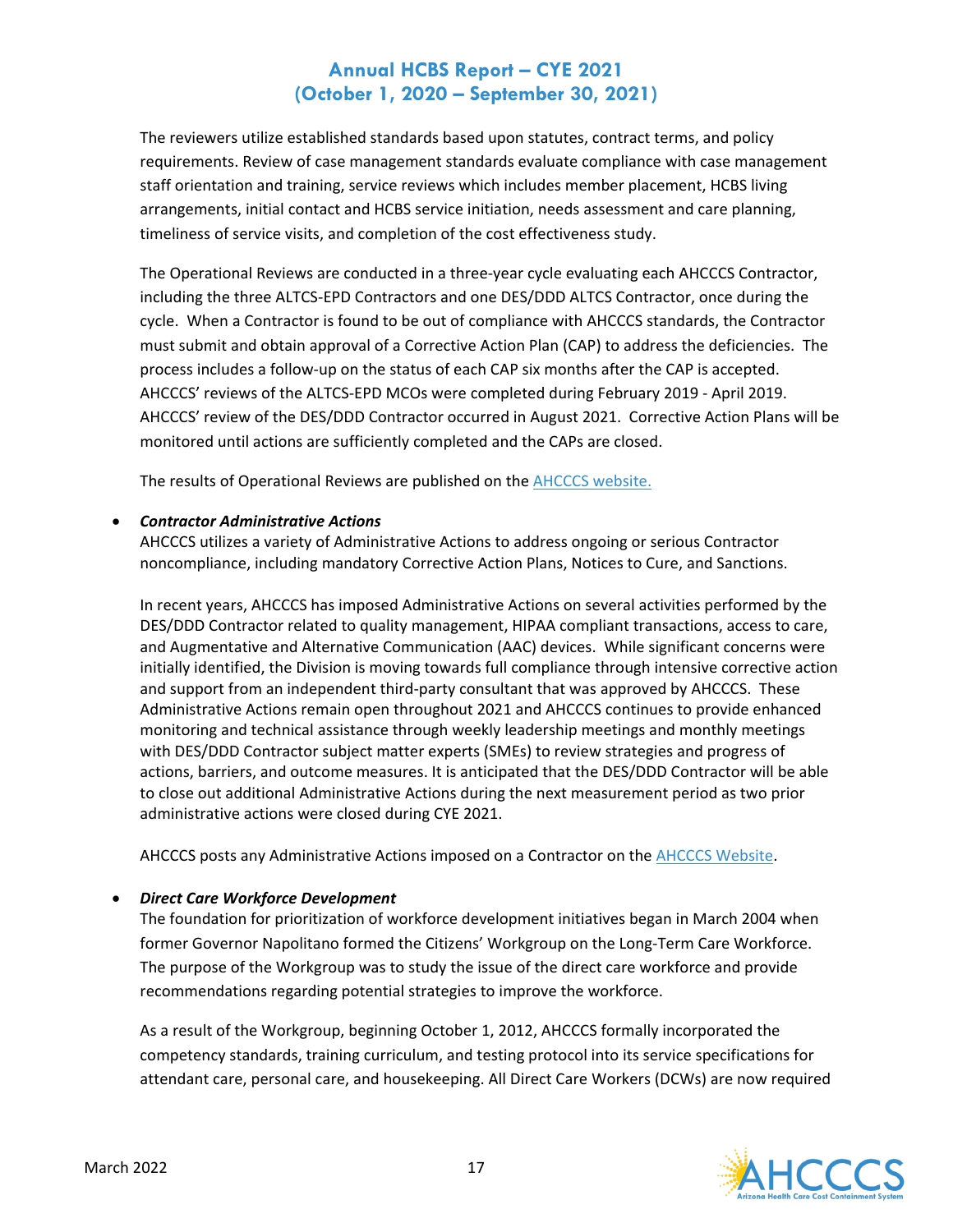The reviewers utilize established standards based upon statutes, contract terms, and policy requirements. Review of case management standards evaluate compliance with case management staff orientation and training, service reviews which includes member placement, HCBS living arrangements, initial contact and HCBS service initiation, needs assessment and care planning, timeliness of service visits, and completion of the cost effectiveness study.

The Operational Reviews are conducted in a three-year cycle evaluating each AHCCCS Contractor, including the three ALTCS-EPD Contractors and one DES/DDD ALTCS Contractor, once during the cycle. When a Contractor is found to be out of compliance with AHCCCS standards, the Contractor must submit and obtain approval of a Corrective Action Plan (CAP) to address the deficiencies. The process includes a follow-up on the status of each CAP six months after the CAP is accepted. AHCCCS' reviews of the ALTCS-EPD MCOs were completed during February 2019 - April 2019. AHCCCS' review of the DES/DDD Contractor occurred in August 2021. Corrective Action Plans will be monitored until actions are sufficiently completed and the CAPs are closed.

The results of Operational Reviews are published on th[e AHCCCS website.](https://www.azahcccs.gov/Resources/OversightOfHealthPlans/OpReviews.html)

### • *Contractor Administrative Actions*

AHCCCS utilizes a variety of Administrative Actions to address ongoing or serious Contractor noncompliance, including mandatory Corrective Action Plans, Notices to Cure, and Sanctions.

In recent years, AHCCCS has imposed Administrative Actions on several activities performed by the DES/DDD Contractor related to quality management, HIPAA compliant transactions, access to care, and Augmentative and Alternative Communication (AAC) devices. While significant concerns were initially identified, the Division is moving towards full compliance through intensive corrective action and support from an independent third-party consultant that was approved by AHCCCS. These Administrative Actions remain open throughout 2021 and AHCCCS continues to provide enhanced monitoring and technical assistance through weekly leadership meetings and monthly meetings with DES/DDD Contractor subject matter experts (SMEs) to review strategies and progress of actions, barriers, and outcome measures. It is anticipated that the DES/DDD Contractor will be able to close out additional Administrative Actions during the next measurement period as two prior administrative actions were closed during CYE 2021.

AHCCCS posts any Administrative Actions imposed on a Contractor on th[e AHCCCS Website.](https://www.azahcccs.gov/Resources/OversightOfHealthPlans/AdministrativeActions/)

### • *Direct Care Workforce Development*

The foundation for prioritization of workforce development initiatives began in March 2004 when former Governor Napolitano formed the Citizens' Workgroup on the Long-Term Care Workforce. The purpose of the Workgroup was to study the issue of the direct care workforce and provide recommendations regarding potential strategies to improve the workforce.

As a result of the Workgroup, beginning October 1, 2012, AHCCCS formally incorporated the competency standards, training curriculum, and testing protocol into its service specifications for attendant care, personal care, and housekeeping. All Direct Care Workers (DCWs) are now required

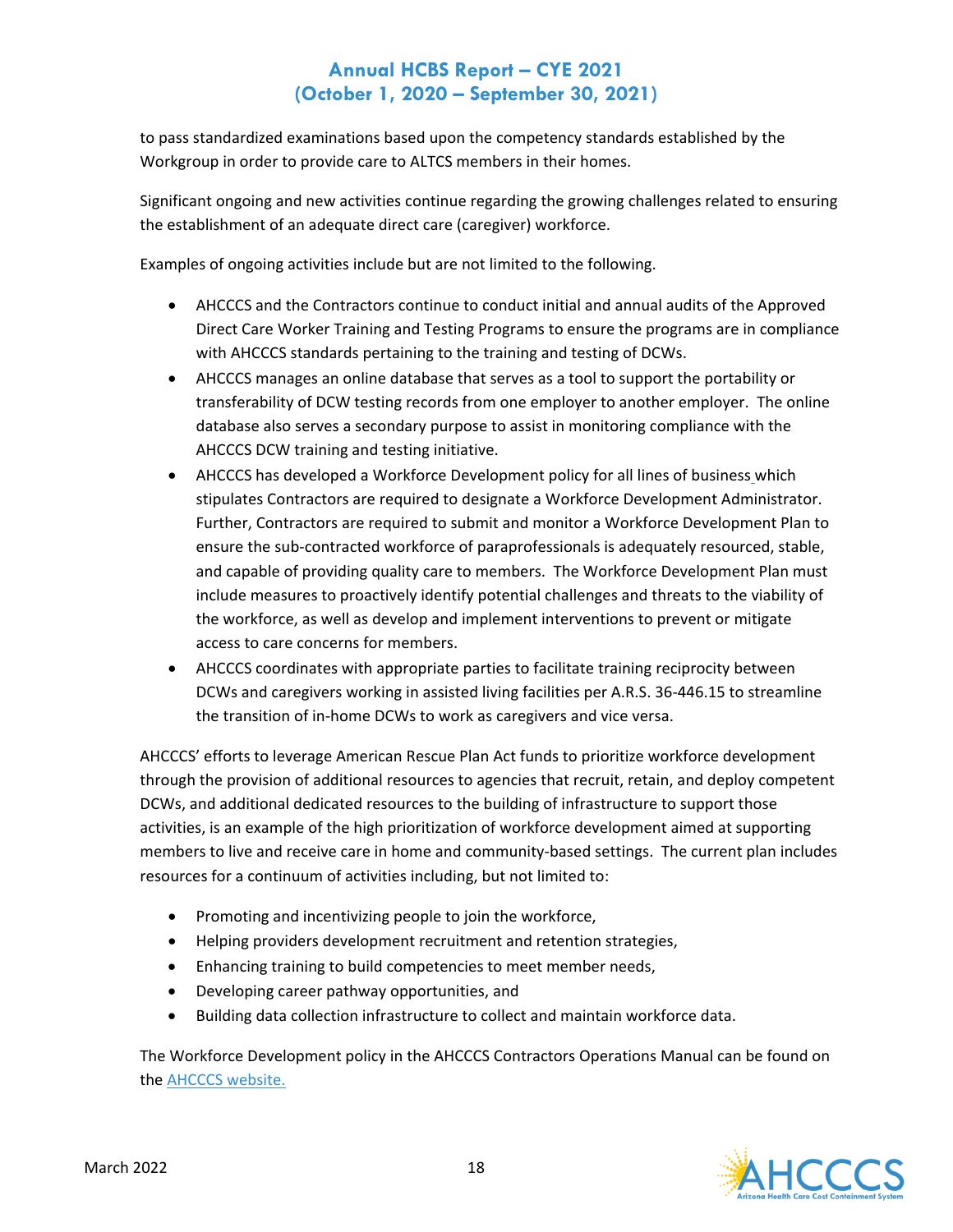to pass standardized examinations based upon the competency standards established by the Workgroup in order to provide care to ALTCS members in their homes.

Significant ongoing and new activities continue regarding the growing challenges related to ensuring the establishment of an adequate direct care (caregiver) workforce.

Examples of ongoing activities include but are not limited to the following.

- AHCCCS and the Contractors continue to conduct initial and annual audits of the Approved Direct Care Worker Training and Testing Programs to ensure the programs are in compliance with AHCCCS standards pertaining to the training and testing of DCWs.
- AHCCCS manages an online database that serves as a tool to support the portability or transferability of DCW testing records from one employer to another employer. The online database also serves a secondary purpose to assist in monitoring compliance with the AHCCCS DCW training and testing initiative.
- AHCCCS has developed a Workforce Development policy for all lines of business which stipulates Contractors are required to designate a Workforce Development Administrator. Further, Contractors are required to submit and monitor a Workforce Development Plan to ensure the sub-contracted workforce of paraprofessionals is adequately resourced, stable, and capable of providing quality care to members. The Workforce Development Plan must include measures to proactively identify potential challenges and threats to the viability of the workforce, as well as develop and implement interventions to prevent or mitigate access to care concerns for members.
- AHCCCS coordinates with appropriate parties to facilitate training reciprocity between DCWs and caregivers working in assisted living facilities per A.R.S. 36-446.15 to streamline the transition of in-home DCWs to work as caregivers and vice versa.

AHCCCS' efforts to leverage American Rescue Plan Act funds to prioritize workforce development through the provision of additional resources to agencies that recruit, retain, and deploy competent DCWs, and additional dedicated resources to the building of infrastructure to support those activities, is an example of the high prioritization of workforce development aimed at supporting members to live and receive care in home and community-based settings. The current plan includes resources for a continuum of activities including, but not limited to:

- Promoting and incentivizing people to join the workforce,
- Helping providers development recruitment and retention strategies,
- Enhancing training to build competencies to meet member needs,
- Developing career pathway opportunities, and
- Building data collection infrastructure to collect and maintain workforce data.

The Workforce Development policy in the AHCCCS Contractors Operations Manual can be found on the [AHCCCS website.](https://www.azahcccs.gov/shared/ACOM/) 

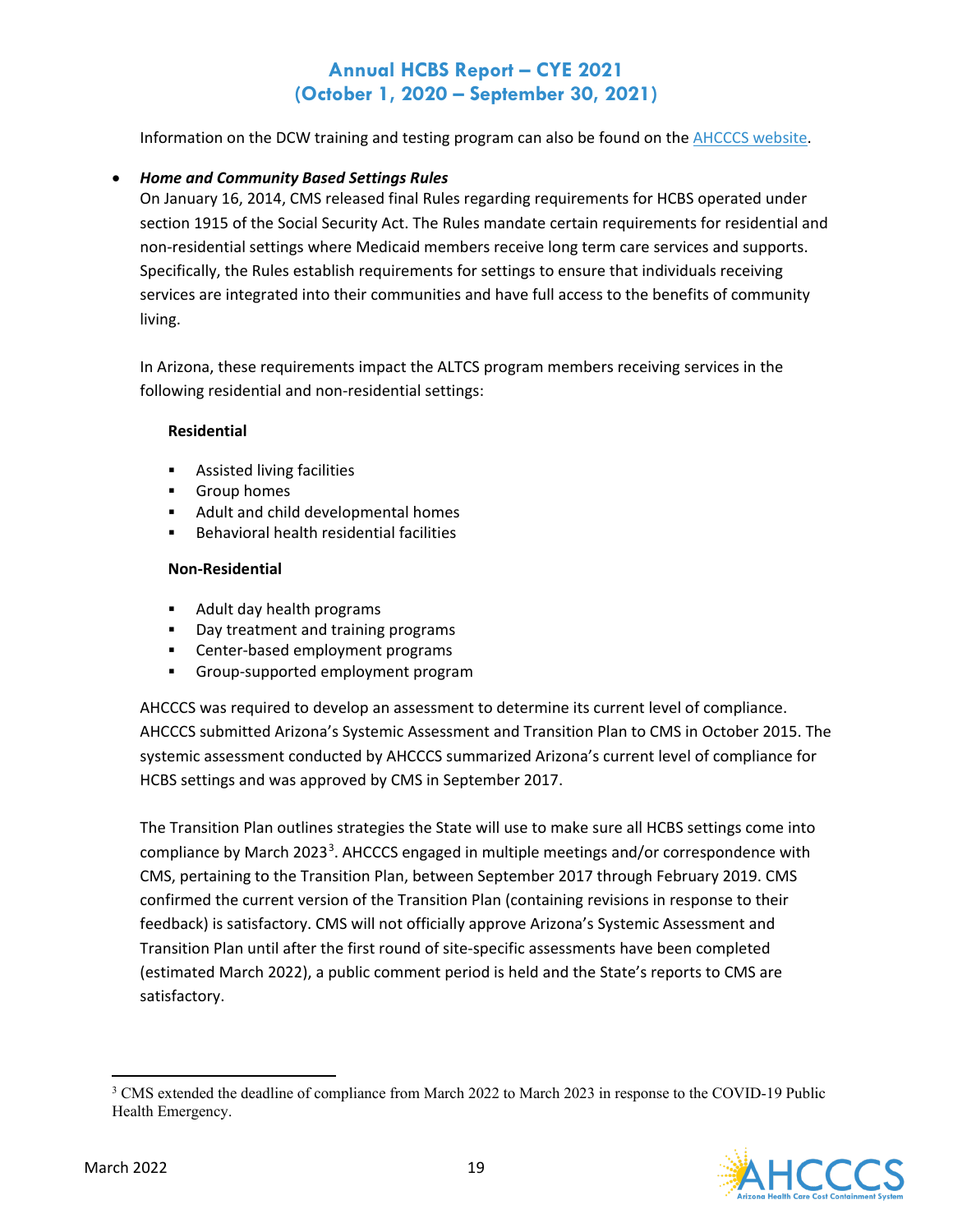Information on the DCW training and testing program can also be found on the [AHCCCS website.](https://www.azahcccs.gov/PlansProviders/CurrentProviders/DCW/)

### • *Home and Community Based Settings Rules*

On January 16, 2014, CMS released final Rules regarding requirements for HCBS operated under section 1915 of the Social Security Act. The Rules mandate certain requirements for residential and non-residential settings where Medicaid members receive long term care services and supports. Specifically, the Rules establish requirements for settings to ensure that individuals receiving services are integrated into their communities and have full access to the benefits of community living.

In Arizona, these requirements impact the ALTCS program members receiving services in the following residential and non-residential settings:

#### **Residential**

- **Assisted living facilities**
- **Group homes**
- **Adult and child developmental homes**
- **Behavioral health residential facilities**

#### **Non-Residential**

- **Adult day health programs**
- **Day treatment and training programs**
- **EXEC** Center-based employment programs
- Group-supported employment program

AHCCCS was required to develop an assessment to determine its current level of compliance. AHCCCS submitted Arizona's Systemic Assessment and Transition Plan to CMS in October 2015. The systemic assessment conducted by AHCCCS summarized Arizona's current level of compliance for HCBS settings and was approved by CMS in September 2017.

The Transition Plan outlines strategies the State will use to make sure all HCBS settings come into compliance by March 202[3](#page-19-0)<sup>3</sup>. AHCCCS engaged in multiple meetings and/or correspondence with CMS, pertaining to the Transition Plan, between September 2017 through February 2019. CMS confirmed the current version of the Transition Plan (containing revisions in response to their feedback) is satisfactory. CMS will not officially approve Arizona's Systemic Assessment and Transition Plan until after the first round of site-specific assessments have been completed (estimated March 2022), a public comment period is held and the State's reports to CMS are satisfactory.

<span id="page-19-0"></span><sup>&</sup>lt;sup>3</sup> CMS extended the deadline of compliance from March 2022 to March 2023 in response to the COVID-19 Public Health Emergency.

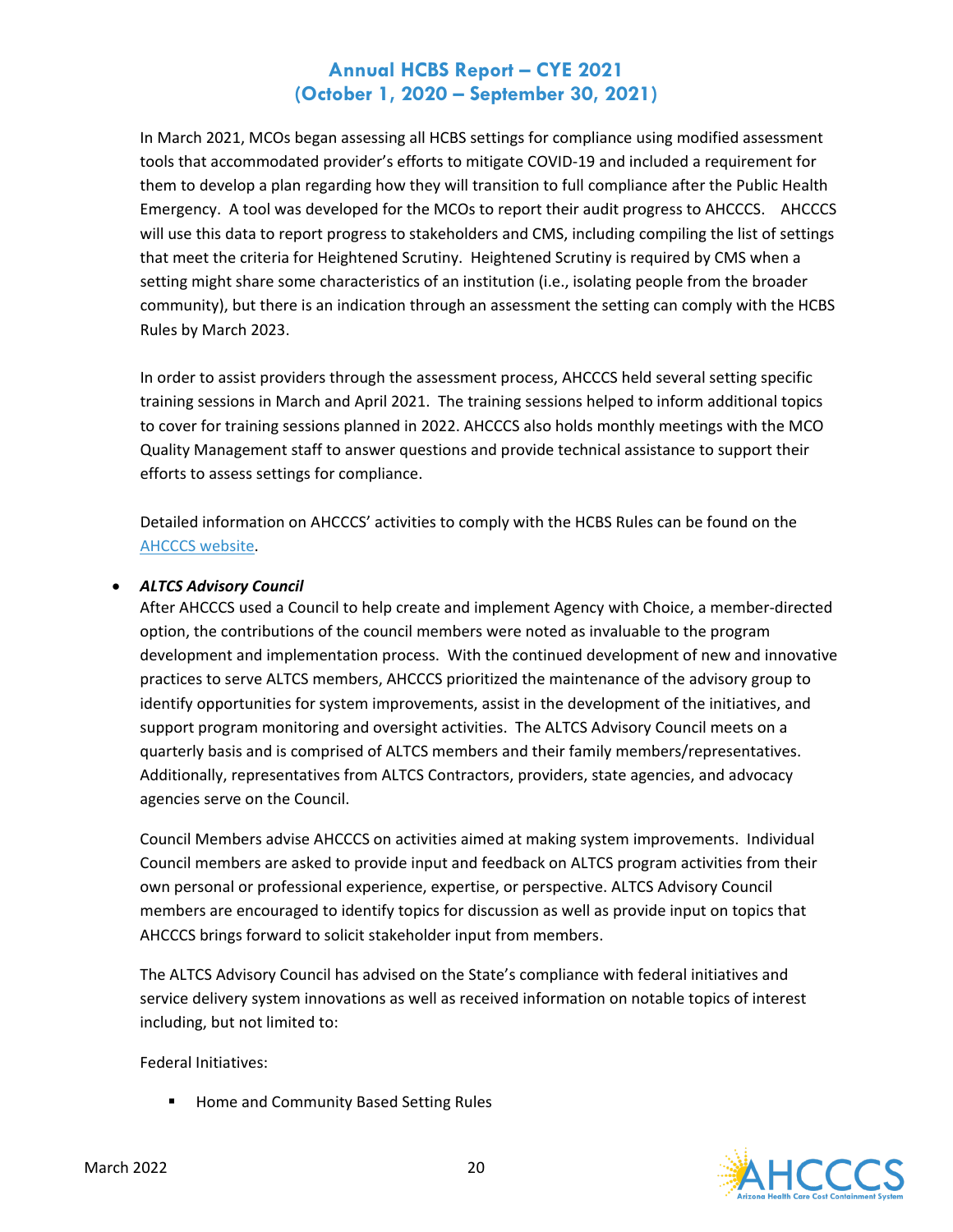In March 2021, MCOs began assessing all HCBS settings for compliance using modified assessment tools that accommodated provider's efforts to mitigate COVID-19 and included a requirement for them to develop a plan regarding how they will transition to full compliance after the Public Health Emergency. A tool was developed for the MCOs to report their audit progress to AHCCCS. AHCCCS will use this data to report progress to stakeholders and CMS, including compiling the list of settings that meet the criteria for Heightened Scrutiny. Heightened Scrutiny is required by CMS when a setting might share some characteristics of an institution (i.e., isolating people from the broader community), but there is an indication through an assessment the setting can comply with the HCBS Rules by March 2023.

In order to assist providers through the assessment process, AHCCCS held several setting specific training sessions in March and April 2021. The training sessions helped to inform additional topics to cover for training sessions planned in 2022. AHCCCS also holds monthly meetings with the MCO Quality Management staff to answer questions and provide technical assistance to support their efforts to assess settings for compliance.

Detailed information on AHCCCS' activities to comply with the HCBS Rules can be found on the [AHCCCS website.](https://www.azahcccs.gov/shared/HCBS/)

#### • *ALTCS Advisory Council*

After AHCCCS used a Council to help create and implement Agency with Choice, a member-directed option, the contributions of the council members were noted as invaluable to the program development and implementation process. With the continued development of new and innovative practices to serve ALTCS members, AHCCCS prioritized the maintenance of the advisory group to identify opportunities for system improvements, assist in the development of the initiatives, and support program monitoring and oversight activities. The ALTCS Advisory Council meets on a quarterly basis and is comprised of ALTCS members and their family members/representatives. Additionally, representatives from ALTCS Contractors, providers, state agencies, and advocacy agencies serve on the Council.

Council Members advise AHCCCS on activities aimed at making system improvements. Individual Council members are asked to provide input and feedback on ALTCS program activities from their own personal or professional experience, expertise, or perspective. ALTCS Advisory Council members are encouraged to identify topics for discussion as well as provide input on topics that AHCCCS brings forward to solicit stakeholder input from members.

The ALTCS Advisory Council has advised on the State's compliance with federal initiatives and service delivery system innovations as well as received information on notable topics of interest including, but not limited to:

Federal Initiatives:

**Home and Community Based Setting Rules** 

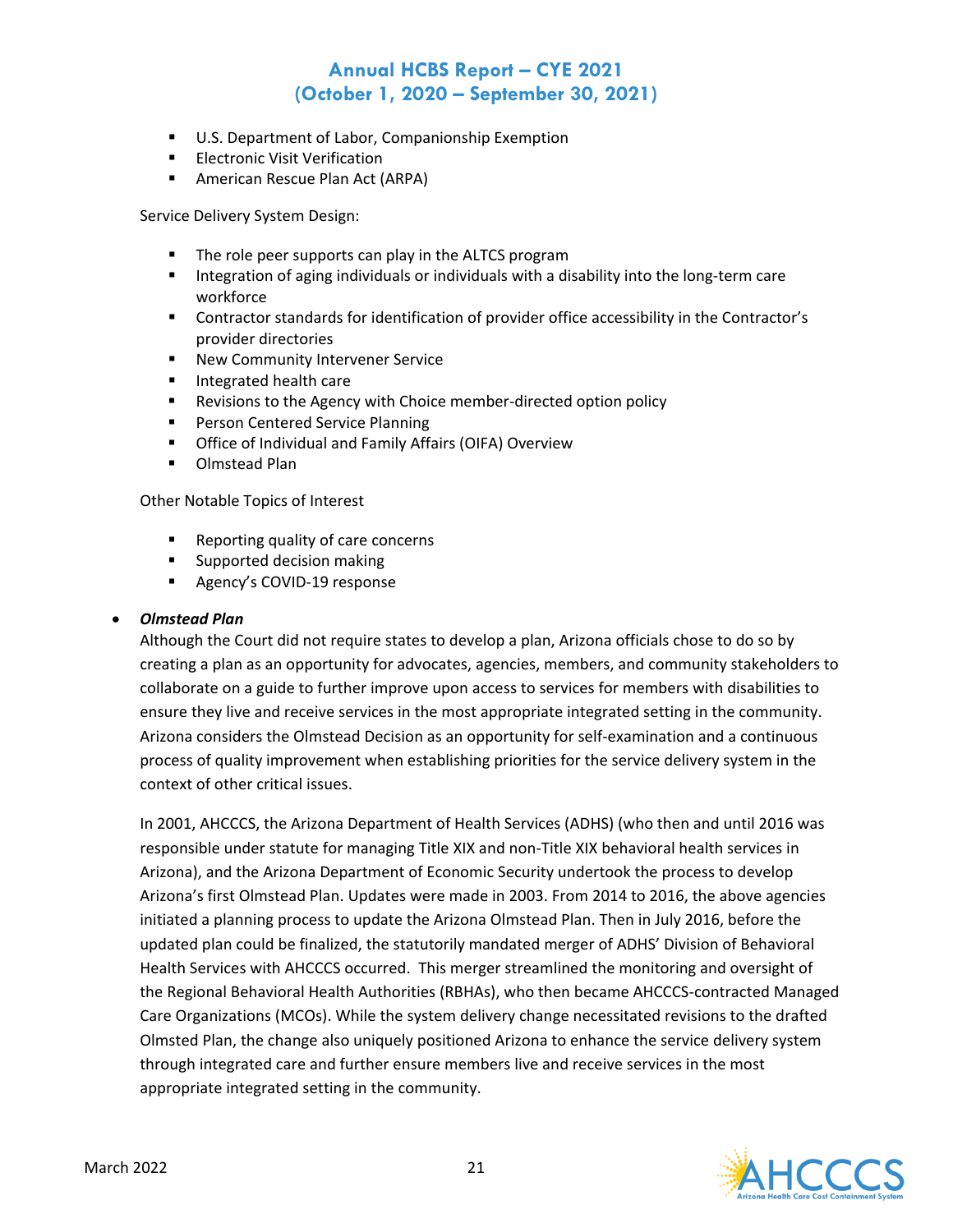- **U.S. Department of Labor, Companionship Exemption**
- **Electronic Visit Verification**
- **American Rescue Plan Act (ARPA)**

Service Delivery System Design:

- **The role peer supports can play in the ALTCS program**
- Integration of aging individuals or individuals with a disability into the long-term care workforce
- Contractor standards for identification of provider office accessibility in the Contractor's provider directories
- **New Community Intervener Service**
- **Integrated health care**
- **Revisions to the Agency with Choice member-directed option policy**
- **Person Centered Service Planning**
- **•** Office of Individual and Family Affairs (OIFA) Overview
- **•** Olmstead Plan

Other Notable Topics of Interest

- Reporting quality of care concerns
- **Supported decision making**
- **Agency's COVID-19 response**

#### • *Olmstead Plan*

Although the Court did not require states to develop a plan, Arizona officials chose to do so by creating a plan as an opportunity for advocates, agencies, members, and community stakeholders to collaborate on a guide to further improve upon access to services for members with disabilities to ensure they live and receive services in the most appropriate integrated setting in the community. Arizona considers the Olmstead Decision as an opportunity for self-examination and a continuous process of quality improvement when establishing priorities for the service delivery system in the context of other critical issues.

In 2001, AHCCCS, the Arizona Department of Health Services (ADHS) (who then and until 2016 was responsible under statute for managing Title XIX and non-Title XIX behavioral health services in Arizona), and the Arizona Department of Economic Security undertook the process to develop Arizona's first Olmstead Plan. [Updates](https://www.azahcccs.gov/AHCCCS/Downloads/ArizonaOlmsteadPlan/OlmsteadUpdatedMarch2003.pdf) were made in 2003. From 2014 to 2016, the above agencies initiated a planning process to update the Arizona Olmstead Plan. Then in July 2016, before the updated plan could be finalized, the statutorily mandated merger of ADHS' Division of Behavioral Health Services with AHCCCS occurred. This merger streamlined the monitoring and oversight of the Regional Behavioral Health Authorities (RBHAs), who then became AHCCCS-contracted Managed Care Organizations (MCOs). While the system delivery change necessitated revisions to the drafted Olmsted Plan, the change also uniquely positioned Arizona to enhance the service delivery system through integrated care and further ensure members live and receive services in the most appropriate integrated setting in the community.

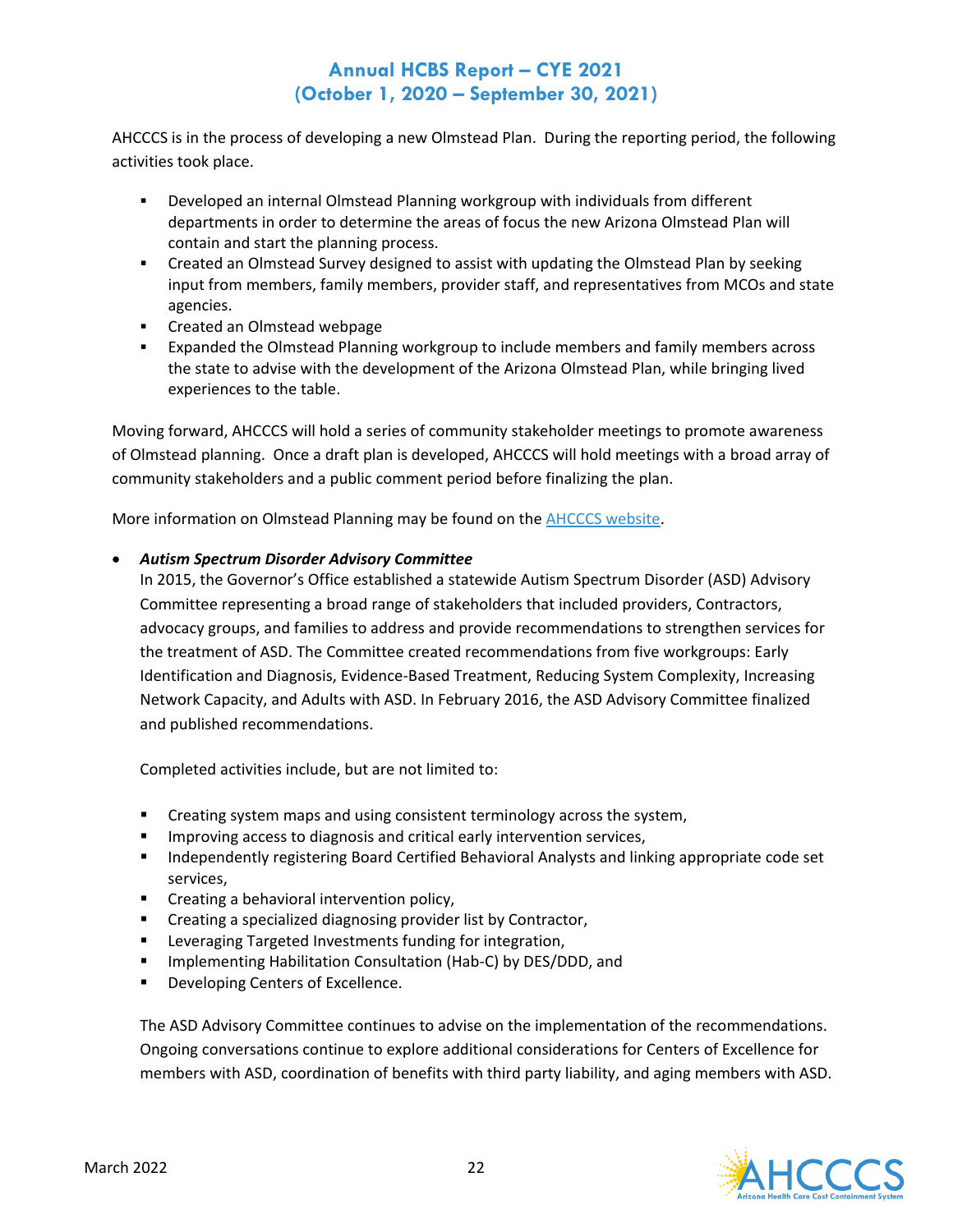AHCCCS is in the process of developing a new Olmstead Plan. During the reporting period, the following activities took place.

- Developed an internal Olmstead Planning workgroup with individuals from different departments in order to determine the areas of focus the new Arizona Olmstead Plan will contain and start the planning process.
- Created an Olmstead Survey designed to assist with updating the Olmstead Plan by seeking input from members, family members, provider staff, and representatives from MCOs and state agencies.
- **EXECRED EXECREM** Created an Olmstead webpage
- Expanded the Olmstead Planning workgroup to include members and family members across the state to advise with the development of the Arizona Olmstead Plan, while bringing lived experiences to the table.

Moving forward, AHCCCS will hold a series of community stakeholder meetings to promote awareness of Olmstead planning. Once a draft plan is developed, AHCCCS will hold meetings with a broad array of community stakeholders and a public comment period before finalizing the plan.

More information on Olmstead Planning may be found on the [AHCCCS website.](https://www.azahcccs.gov/Olmstead)

### • *Autism Spectrum Disorder Advisory Committee*

In 2015, the Governor's Office established a statewide Autism Spectrum Disorder (ASD) Advisory Committee representing a broad range of stakeholders that included providers, Contractors, advocacy groups, and families to address and provide recommendations to strengthen services for the treatment of ASD. The Committee created recommendations from five workgroups: Early Identification and Diagnosis, Evidence-Based Treatment, Reducing System Complexity, Increasing Network Capacity, and Adults with ASD. In February 2016, the ASD Advisory Committee finalized and published recommendations.

Completed activities include, but are not limited to:

- **EXP** Creating system maps and using consistent terminology across the system,
- **IMPROVING ACCESS TO diagnosis and critical early intervention services,**
- **Independently registering Board Certified Behavioral Analysts and linking appropriate code set** services,
- **EXECT** Creating a behavioral intervention policy,
- **EXECT** Creating a specialized diagnosing provider list by Contractor,
- **EXEC** Leveraging Targeted Investments funding for integration,
- **IMPLEMANGE HABILITY CONSULTATION (HAB-C) by DES/DDD, and**
- **•** Developing Centers of Excellence.

The ASD Advisory Committee continues to advise on the implementation of the recommendations. Ongoing conversations continue to explore additional considerations for Centers of Excellence for members with ASD, coordination of benefits with third party liability, and aging members with ASD.

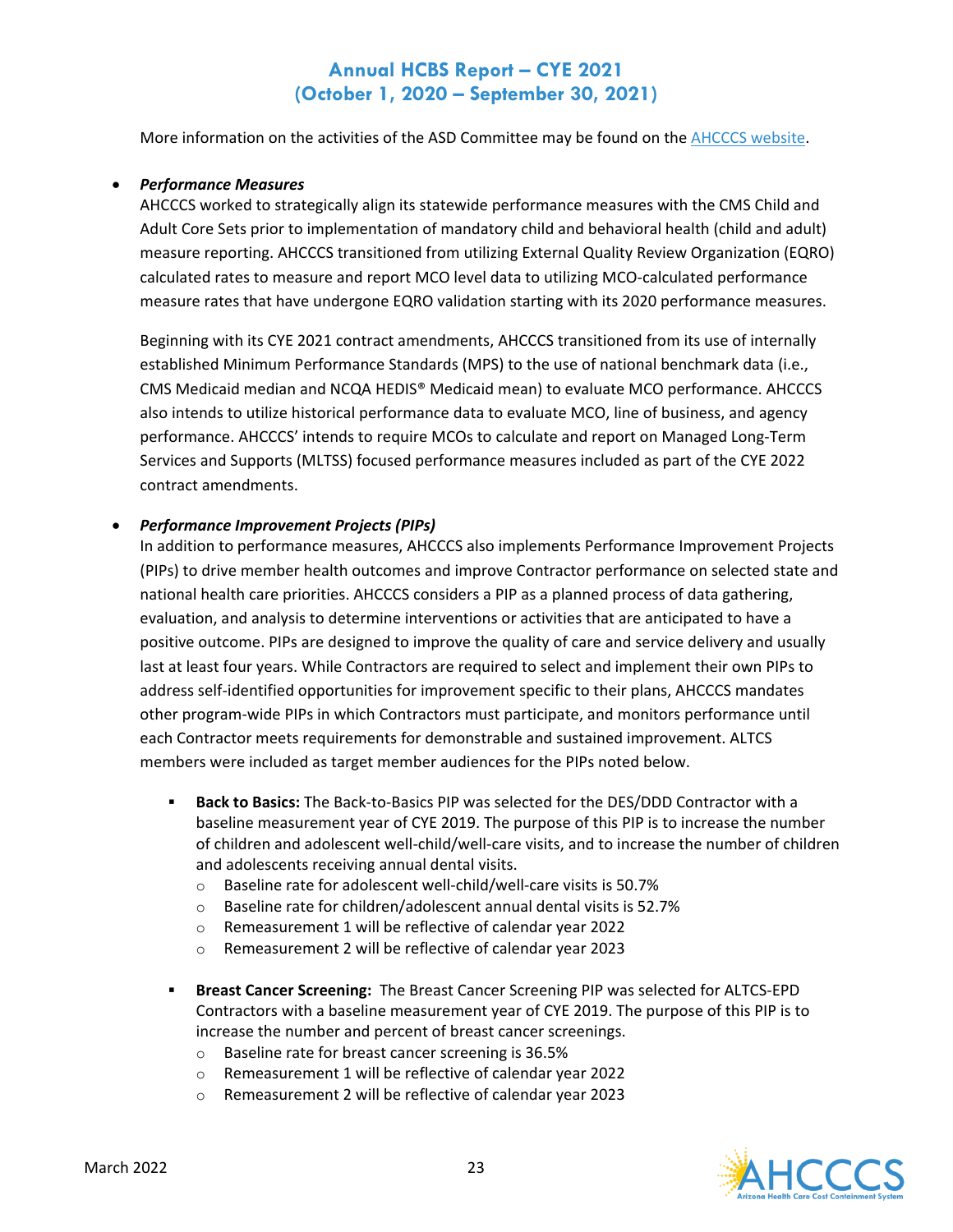More information on the activities of the ASD Committee may be found on the [AHCCCS website.](https://www.azahcccs.gov/shared/ASD.html)

#### • *Performance Measures*

AHCCCS worked to strategically align its statewide performance measures with the CMS Child and Adult Core Sets prior to implementation of mandatory child and behavioral health (child and adult) measure reporting. AHCCCS transitioned from utilizing External Quality Review Organization (EQRO) calculated rates to measure and report MCO level data to utilizing MCO-calculated performance measure rates that have undergone EQRO validation starting with its 2020 performance measures.

Beginning with its CYE 2021 contract amendments, AHCCCS transitioned from its use of internally established Minimum Performance Standards (MPS) to the use of national benchmark data (i.e., CMS Medicaid median and NCQA HEDIS® Medicaid mean) to evaluate MCO performance. AHCCCS also intends to utilize historical performance data to evaluate MCO, line of business, and agency performance. AHCCCS' intends to require MCOs to calculate and report on Managed Long-Term Services and Supports (MLTSS) focused performance measures included as part of the CYE 2022 contract amendments.

#### • *Performance Improvement Projects (PIPs)*

In addition to performance measures, AHCCCS also implements Performance Improvement Projects (PIPs) to drive member health outcomes and improve Contractor performance on selected state and national health care priorities. AHCCCS considers a PIP as a planned process of data gathering, evaluation, and analysis to determine interventions or activities that are anticipated to have a positive outcome. PIPs are designed to improve the quality of care and service delivery and usually last at least four years. While Contractors are required to select and implement their own PIPs to address self-identified opportunities for improvement specific to their plans, AHCCCS mandates other program-wide PIPs in which Contractors must participate, and monitors performance until each Contractor meets requirements for demonstrable and sustained improvement. ALTCS members were included as target member audiences for the PIPs noted below.

- **Back to Basics:** The Back-to-Basics PIP was selected for the DES/DDD Contractor with a baseline measurement year of CYE 2019. The purpose of this PIP is to increase the number of children and adolescent well-child/well-care visits, and to increase the number of children and adolescents receiving annual dental visits.
	- o Baseline rate for adolescent well-child/well-care visits is 50.7%
	- o Baseline rate for children/adolescent annual dental visits is 52.7%
	- o Remeasurement 1 will be reflective of calendar year 2022
	- o Remeasurement 2 will be reflective of calendar year 2023
- **Breast Cancer Screening:** The Breast Cancer Screening PIP was selected for ALTCS-EPD Contractors with a baseline measurement year of CYE 2019. The purpose of this PIP is to increase the number and percent of breast cancer screenings.
	- o Baseline rate for breast cancer screening is 36.5%
	- o Remeasurement 1 will be reflective of calendar year 2022
	- o Remeasurement 2 will be reflective of calendar year 2023

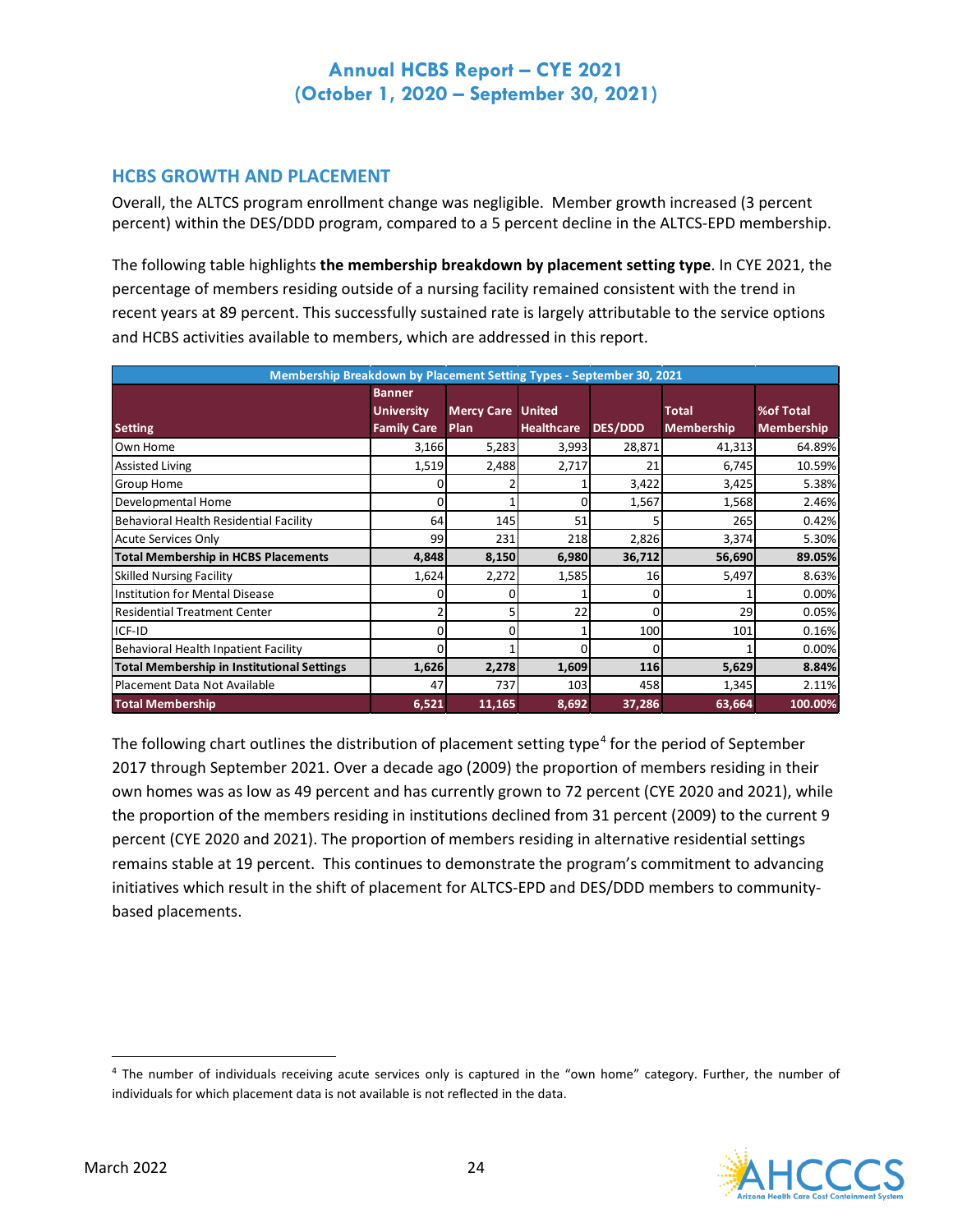### **HCBS GROWTH AND PLACEMENT**

Overall, the ALTCS program enrollment change was negligible. Member growth increased (3 percent percent) within the DES/DDD program, compared to a 5 percent decline in the ALTCS-EPD membership.

The following table highlights **the membership breakdown by placement setting type**. In CYE 2021, the percentage of members residing outside of a nursing facility remained consistent with the trend in recent years at 89 percent. This successfully sustained rate is largely attributable to the service options and HCBS activities available to members, which are addressed in this report.

| Membership Breakdown by Placement Setting Types - September 30, 2021 |                    |                          |                   |                |                   |                   |
|----------------------------------------------------------------------|--------------------|--------------------------|-------------------|----------------|-------------------|-------------------|
|                                                                      | <b>Banner</b>      |                          |                   |                |                   |                   |
|                                                                      | <b>University</b>  | <b>Mercy Care United</b> |                   |                | <b>Total</b>      | %of Total         |
| <b>Setting</b>                                                       | <b>Family Care</b> | Plan                     | <b>Healthcare</b> | <b>DES/DDD</b> | <b>Membership</b> | <b>Membership</b> |
| Own Home                                                             | 3,166              | 5,283                    | 3,993             | 28,871         | 41,313            | 64.89%            |
| <b>Assisted Living</b>                                               | 1,519              | 2,488                    | 2,717             | 21             | 6,745             | 10.59%            |
| Group Home                                                           |                    |                          |                   | 3,422          | 3,425             | 5.38%             |
| Developmental Home                                                   |                    |                          | 0                 | 1,567          | 1,568             | 2.46%             |
| Behavioral Health Residential Facility                               | 64                 | 145                      | 51                |                | 265               | 0.42%             |
| <b>Acute Services Only</b>                                           | 99                 | 231                      | 218               | 2,826          | 3,374             | 5.30%             |
| <b>Total Membership in HCBS Placements</b>                           | 4,848              | 8,150                    | 6,980             | 36,712         | 56,690            | 89.05%            |
| <b>Skilled Nursing Facility</b>                                      | 1,624              | 2,272                    | 1,585             | 16             | 5,497             | 8.63%             |
| Institution for Mental Disease                                       |                    |                          |                   | 0              |                   | 0.00%             |
| <b>Residential Treatment Center</b>                                  |                    |                          | 22                | O              | 29                | 0.05%             |
| ICF-ID                                                               | <sup>n</sup>       | 0                        |                   | 100            | 101               | 0.16%             |
| Behavioral Health Inpatient Facility                                 | <sup>n</sup>       |                          | ŋ                 | <sup>0</sup>   |                   | 0.00%             |
| <b>Total Membership in Institutional Settings</b>                    | 1,626              | 2,278                    | 1,609             | 116            | 5,629             | 8.84%             |
| Placement Data Not Available                                         | 47                 | 737                      | 103               | 458            | 1,345             | 2.11%             |
| <b>Total Membership</b>                                              | 6,521              | 11,165                   | 8,692             | 37,286         | 63,664            | 100.00%           |

The following chart outlines the distribution of placement setting type<sup>[4](#page-24-0)</sup> for the period of September 2017 through September 2021. Over a decade ago (2009) the proportion of members residing in their own homes was as low as 49 percent and has currently grown to 72 percent (CYE 2020 and 2021), while the proportion of the members residing in institutions declined from 31 percent (2009) to the current 9 percent (CYE 2020 and 2021). The proportion of members residing in alternative residential settings remains stable at 19 percent. This continues to demonstrate the program's commitment to advancing initiatives which result in the shift of placement for ALTCS-EPD and DES/DDD members to communitybased placements.

<span id="page-24-0"></span><sup>&</sup>lt;sup>4</sup> The number of individuals receiving acute services only is captured in the "own home" category. Further, the number of individuals for which placement data is not available is not reflected in the data.

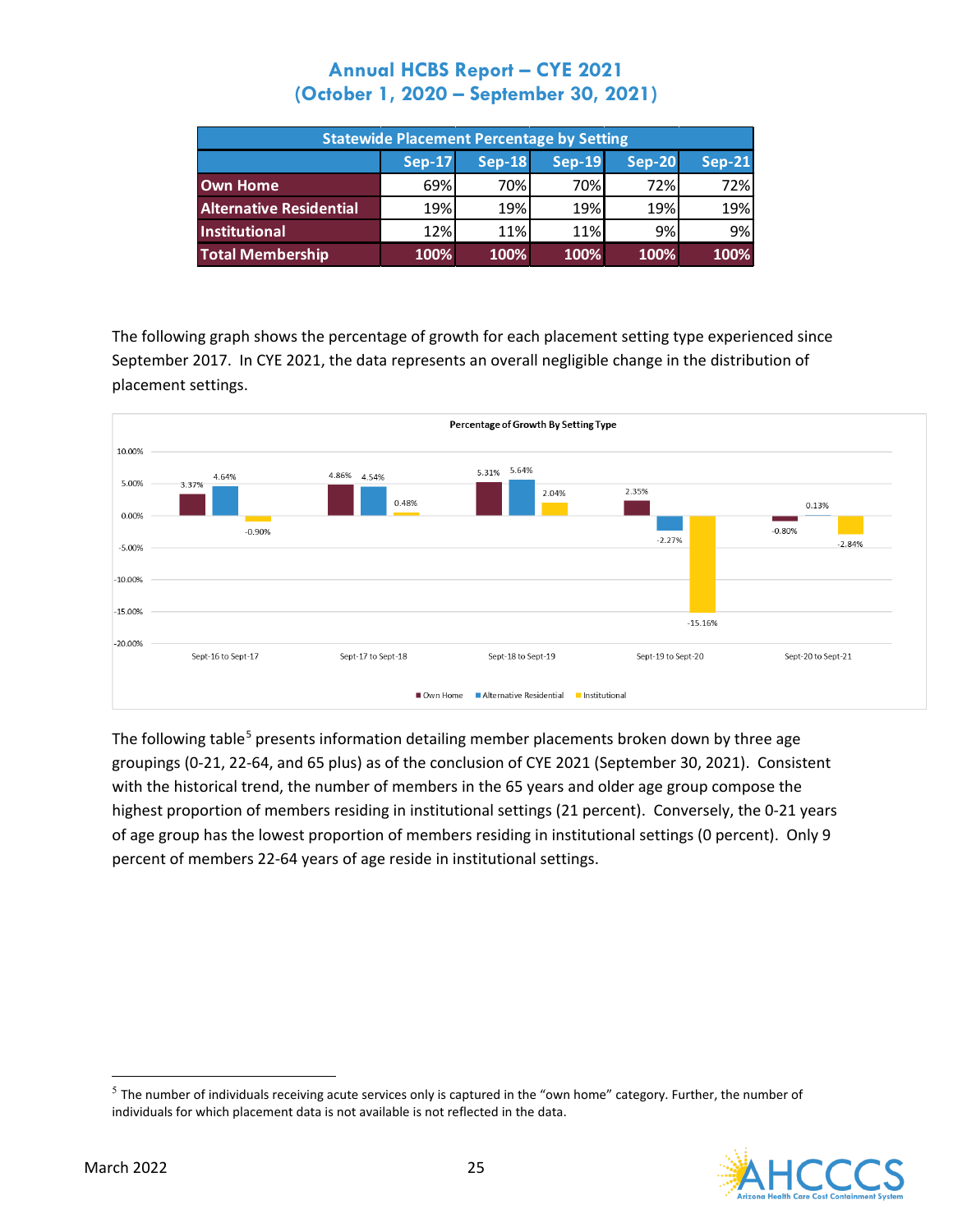| <b>Statewide Placement Percentage by Setting</b> |               |               |               |               |               |
|--------------------------------------------------|---------------|---------------|---------------|---------------|---------------|
|                                                  | <b>Sep-17</b> | <b>Sep-18</b> | <b>Sep-19</b> | <b>Sep-20</b> | <b>Sep-21</b> |
| Own Home                                         | 69%           | 70%           | 70%           | 72%           | 72%           |
| <b>Alternative Residential</b>                   | 19%           | 19%           | 19%           | 19%           | 19%           |
| <b>Institutional</b>                             | 12%           | 11%           | 11%           | 9%            | 9%            |
| Total Membership                                 | 100%          | 100%          | 100%          | 100%          | 100%          |

The following graph shows the percentage of growth for each placement setting type experienced since September 2017. In CYE 2021, the data represents an overall negligible change in the distribution of placement settings.



The following table<sup>[5](#page-25-0)</sup> presents information detailing member placements broken down by three age groupings (0-21, 22-64, and 65 plus) as of the conclusion of CYE 2021 (September 30, 2021). Consistent with the historical trend, the number of members in the 65 years and older age group compose the highest proportion of members residing in institutional settings (21 percent). Conversely, the 0-21 years of age group has the lowest proportion of members residing in institutional settings (0 percent). Only 9 percent of members 22-64 years of age reside in institutional settings.

<span id="page-25-0"></span> $5$  The number of individuals receiving acute services only is captured in the "own home" category. Further, the number of individuals for which placement data is not available is not reflected in the data.